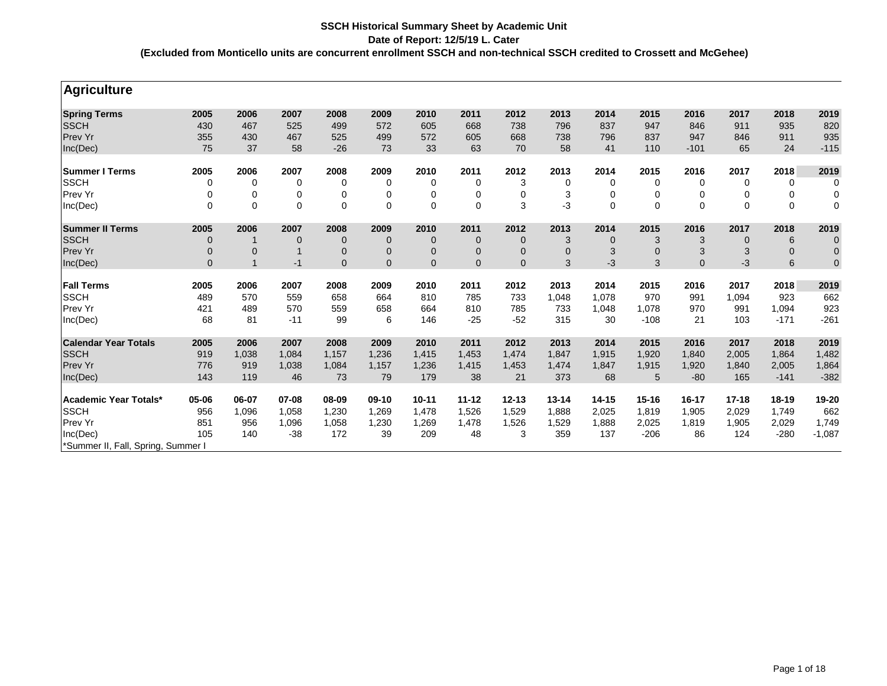| <b>Agriculture</b>                 |              |              |             |                |              |              |              |              |             |              |           |          |             |              |                  |
|------------------------------------|--------------|--------------|-------------|----------------|--------------|--------------|--------------|--------------|-------------|--------------|-----------|----------|-------------|--------------|------------------|
| <b>Spring Terms</b>                | 2005         | 2006         | 2007        | 2008           | 2009         | 2010         | 2011         | 2012         | 2013        | 2014         | 2015      | 2016     | 2017        | 2018         | 2019             |
| <b>SSCH</b>                        | 430          | 467          | 525         | 499            | 572          | 605          | 668          | 738          | 796         | 837          | 947       | 846      | 911         | 935          | 820              |
| Prev Yr                            | 355          | 430          | 467         | 525            | 499          | 572          | 605          | 668          | 738         | 796          | 837       | 947      | 846         | 911          | 935              |
| Inc(Dec)                           | 75           | 37           | 58          | $-26$          | 73           | 33           | 63           | 70           | 58          | 41           | 110       | $-101$   | 65          | 24           | $-115$           |
| <b>Summer I Terms</b>              | 2005         | 2006         | 2007        | 2008           | 2009         | 2010         | 2011         | 2012         | 2013        | 2014         | 2015      | 2016     | 2017        | 2018         | 2019             |
| <b>SSCH</b>                        | 0            | 0            | 0           | 0              | 0            | 0            | 0            | 3            | 0           | 0            | 0         | 0        | 0           | 0            | 0                |
| Prev Yr                            | 0            | 0            | 0           | 0              | 0            | 0            | 0            | 0            | 3           | 0            | 0         | 0        | 0           | 0            | $\mathbf 0$      |
| Inc(Dec)                           | $\mathbf 0$  | $\mathbf 0$  | $\mathbf 0$ | $\mathbf 0$    | $\mathbf 0$  | $\mathbf 0$  | 0            | 3            | -3          | $\Omega$     | $\Omega$  | $\Omega$ | $\mathbf 0$ | $\mathbf 0$  | $\mathbf 0$      |
| <b>Summer II Terms</b>             | 2005         | 2006         | 2007        | 2008           | 2009         | 2010         | 2011         | 2012         | 2013        | 2014         | 2015      | 2016     | 2017        | 2018         | 2019             |
| <b>SSCH</b>                        | $\mathbf 0$  | -1           | 0           | $\mathbf 0$    | $\mathbf{0}$ | $\mathbf 0$  | $\mathbf 0$  | $\mathbf 0$  | 3           | $\mathbf{0}$ | 3         | 3        | $\mathbf 0$ | 6            | $\boldsymbol{0}$ |
| <b>Prev Yr</b>                     | $\mathbf 0$  | $\mathbf 0$  |             | $\overline{0}$ | $\mathbf{0}$ | $\mathbf{0}$ | $\mathbf{0}$ | $\mathbf{0}$ | $\mathbf 0$ | 3            | $\Omega$  | 3        | 3           | $\mathbf{0}$ | $\mathbf 0$      |
| Inc(Dec)                           | $\mathbf{0}$ | $\mathbf{1}$ | $-1$        | $\mathbf{0}$   | $\mathbf{0}$ | $\mathbf{0}$ | $\mathbf{0}$ | $\mathbf{0}$ | 3           | -3           | 3         | $\Omega$ | $-3$        | 6            | $\mathbf 0$      |
| <b>Fall Terms</b>                  | 2005         | 2006         | 2007        | 2008           | 2009         | 2010         | 2011         | 2012         | 2013        | 2014         | 2015      | 2016     | 2017        | 2018         | 2019             |
| <b>SSCH</b>                        | 489          | 570          | 559         | 658            | 664          | 810          | 785          | 733          | 1,048       | 1,078        | 970       | 991      | 1,094       | 923          | 662              |
| Prev Yr                            | 421          | 489          | 570         | 559            | 658          | 664          | 810          | 785          | 733         | 1,048        | 1,078     | 970      | 991         | 1,094        | 923              |
| Inc(Dec)                           | 68           | 81           | $-11$       | 99             | 6            | 146          | $-25$        | $-52$        | 315         | 30           | $-108$    | 21       | 103         | $-171$       | $-261$           |
| <b>Calendar Year Totals</b>        | 2005         | 2006         | 2007        | 2008           | 2009         | 2010         | 2011         | 2012         | 2013        | 2014         | 2015      | 2016     | 2017        | 2018         | 2019             |
| <b>SSCH</b>                        | 919          | 1,038        | 1,084       | 1,157          | 1,236        | 1,415        | 1,453        | 1,474        | 1,847       | 1,915        | 1,920     | 1,840    | 2,005       | 1,864        | 1,482            |
| <b>Prev Yr</b>                     | 776          | 919          | 1,038       | 1,084          | 1,157        | 1,236        | 1,415        | 1,453        | 1,474       | 1,847        | 1,915     | 1,920    | 1,840       | 2,005        | 1,864            |
| Inc(Dec)                           | 143          | 119          | 46          | 73             | 79           | 179          | 38           | 21           | 373         | 68           | 5         | $-80$    | 165         | $-141$       | $-382$           |
| Academic Year Totals*              | 05-06        | 06-07        | 07-08       | 08-09          | 09-10        | $10 - 11$    | $11 - 12$    | $12 - 13$    | 13-14       | $14 - 15$    | $15 - 16$ | 16-17    | $17 - 18$   | 18-19        | 19-20            |
| <b>SSCH</b>                        | 956          | 1,096        | 1,058       | 1,230          | 1,269        | 1,478        | 1,526        | 1,529        | 1,888       | 2,025        | 1,819     | 1,905    | 2,029       | 1,749        | 662              |
| Prev Yr                            | 851          | 956          | 1,096       | 1,058          | 1,230        | 1,269        | 1,478        | 1,526        | 1,529       | 1,888        | 2,025     | 1,819    | 1,905       | 2,029        | 1,749            |
| Inc(Dec)                           | 105          | 140          | $-38$       | 172            | 39           | 209          | 48           | 3            | 359         | 137          | $-206$    | 86       | 124         | $-280$       | $-1,087$         |
| *Summer II, Fall, Spring, Summer I |              |              |             |                |              |              |              |              |             |              |           |          |             |              |                  |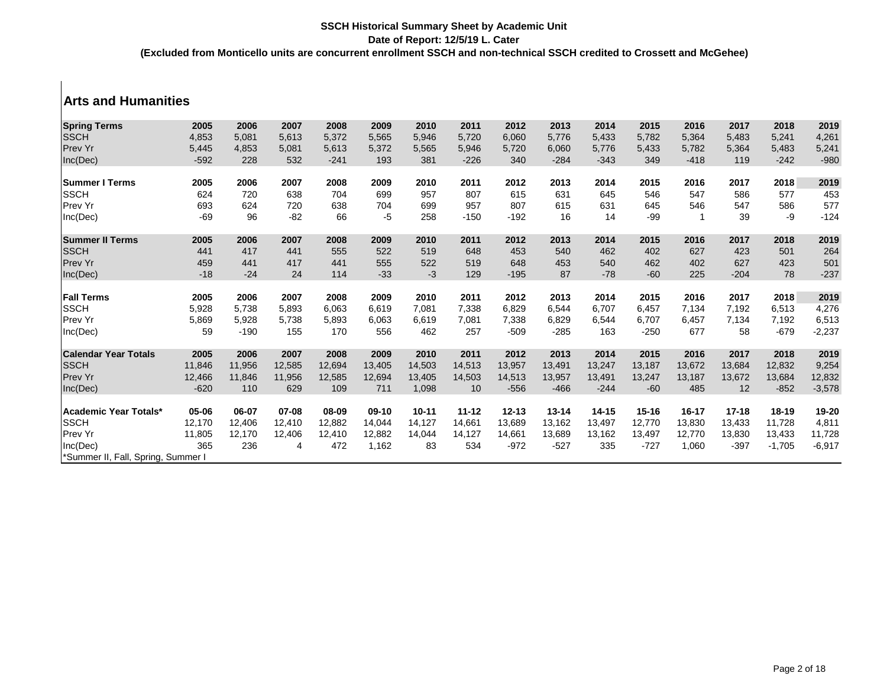## **Arts and Humanities**

| <b>Spring Terms</b>               | 2005   | 2006   | 2007   | 2008   | 2009   | 2010      | 2011      | 2012      | 2013   | 2014      | 2015      | 2016      | 2017      | 2018      | 2019     |
|-----------------------------------|--------|--------|--------|--------|--------|-----------|-----------|-----------|--------|-----------|-----------|-----------|-----------|-----------|----------|
| <b>SSCH</b>                       | 4,853  | 5,081  | 5,613  | 5,372  | 5,565  | 5,946     | 5,720     | 6,060     | 5,776  | 5,433     | 5,782     | 5,364     | 5,483     | 5,241     | 4,261    |
| Prev Yr                           | 5,445  | 4,853  | 5,081  | 5,613  | 5,372  | 5,565     | 5,946     | 5,720     | 6,060  | 5,776     | 5,433     | 5,782     | 5,364     | 5,483     | 5,241    |
| Inc(Dec)                          | $-592$ | 228    | 532    | $-241$ | 193    | 381       | $-226$    | 340       | $-284$ | $-343$    | 349       | $-418$    | 119       | $-242$    | $-980$   |
| <b>Summer I Terms</b>             | 2005   | 2006   | 2007   | 2008   | 2009   | 2010      | 2011      | 2012      | 2013   | 2014      | 2015      | 2016      | 2017      | 2018      | 2019     |
| <b>SSCH</b>                       | 624    | 720    | 638    | 704    | 699    | 957       | 807       | 615       | 631    | 645       | 546       | 547       | 586       | 577       | 453      |
| Prev Yr                           | 693    | 624    | 720    | 638    | 704    | 699       | 957       | 807       | 615    | 631       | 645       | 546       | 547       | 586       | 577      |
| Inc(Dec)                          | $-69$  | 96     | $-82$  | 66     | $-5$   | 258       | $-150$    | $-192$    | 16     | 14        | $-99$     |           | 39        | -9        | $-124$   |
| <b>Summer II Terms</b>            | 2005   | 2006   | 2007   | 2008   | 2009   | 2010      | 2011      | 2012      | 2013   | 2014      | 2015      | 2016      | 2017      | 2018      | 2019     |
| <b>SSCH</b>                       | 441    | 417    | 441    | 555    | 522    | 519       | 648       | 453       | 540    | 462       | 402       | 627       | 423       | 501       | 264      |
| Prev Yr                           | 459    | 441    | 417    | 441    | 555    | 522       | 519       | 648       | 453    | 540       | 462       | 402       | 627       | 423       | 501      |
| Inc(Dec)                          | $-18$  | $-24$  | 24     | 114    | $-33$  | $-3$      | 129       | $-195$    | 87     | $-78$     | $-60$     | 225       | $-204$    | 78        | $-237$   |
| <b>Fall Terms</b>                 | 2005   | 2006   | 2007   | 2008   | 2009   | 2010      | 2011      | 2012      | 2013   | 2014      | 2015      | 2016      | 2017      | 2018      | 2019     |
| <b>SSCH</b>                       | 5,928  | 5,738  | 5,893  | 6,063  | 6,619  | 7,081     | 7,338     | 6,829     | 6,544  | 6.707     | 6,457     | 7,134     | 7,192     | 6,513     | 4,276    |
| Prev Yr                           | 5,869  | 5,928  | 5,738  | 5,893  | 6,063  | 6,619     | 7,081     | 7,338     | 6,829  | 6,544     | 6,707     | 6,457     | 7,134     | 7,192     | 6,513    |
| Inc(Dec)                          | 59     | $-190$ | 155    | 170    | 556    | 462       | 257       | $-509$    | $-285$ | 163       | $-250$    | 677       | 58        | $-679$    | $-2,237$ |
|                                   |        |        |        |        |        |           |           |           |        |           |           |           |           |           |          |
| <b>Calendar Year Totals</b>       | 2005   | 2006   | 2007   | 2008   | 2009   | 2010      | 2011      | 2012      | 2013   | 2014      | 2015      | 2016      | 2017      | 2018      | 2019     |
| <b>SSCH</b>                       | 11,846 | 11,956 | 12,585 | 12,694 | 13,405 | 14,503    | 14,513    | 13,957    | 13,491 | 13,247    | 13,187    | 13,672    | 13,684    | 12,832    | 9,254    |
| Prev Yr                           | 12,466 | 11,846 | 11,956 | 12,585 | 12,694 | 13,405    | 14,503    | 14,513    | 13,957 | 13,491    | 13,247    | 13,187    | 13,672    | 13,684    | 12,832   |
| Inc(Dec)                          | $-620$ | 110    | 629    | 109    | 711    | 1,098     | 10        | $-556$    | $-466$ | $-244$    | $-60$     | 485       | 12        | $-852$    | $-3,578$ |
| Academic Year Totals*             | 05-06  | 06-07  | 07-08  | 08-09  | 09-10  | $10 - 11$ | $11 - 12$ | $12 - 13$ | 13-14  | $14 - 15$ | $15 - 16$ | $16 - 17$ | $17 - 18$ | $18 - 19$ | 19-20    |
| <b>SSCH</b>                       | 12,170 | 12,406 | 12,410 | 12,882 | 14,044 | 14,127    | 14,661    | 13,689    | 13,162 | 13,497    | 12,770    | 13,830    | 13,433    | 11,728    | 4,811    |
| Prev Yr                           | 11,805 | 12,170 | 12,406 | 12,410 | 12,882 | 14,044    | 14,127    | 14,661    | 13,689 | 13,162    | 13,497    | 12,770    | 13,830    | 13,433    | 11,728   |
| Inc(Dec)                          | 365    | 236    | 4      | 472    | 1,162  | 83        | 534       | $-972$    | $-527$ | 335       | $-727$    | 1,060     | $-397$    | $-1,705$  | $-6,917$ |
| Summer II, Fall, Spring, Summer I |        |        |        |        |        |           |           |           |        |           |           |           |           |           |          |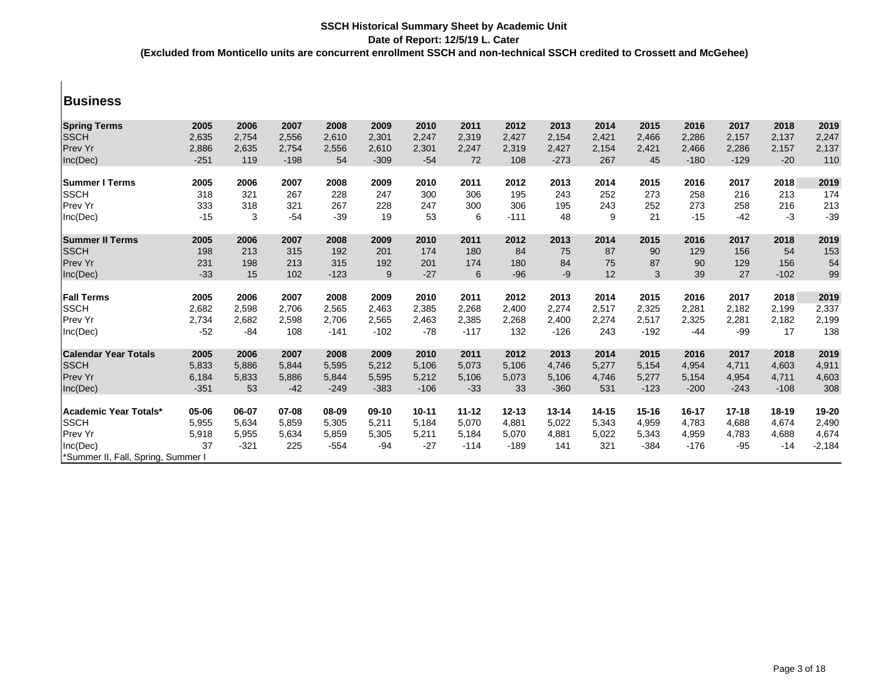### **Business**

| <b>Spring Terms</b>                | 2005   | 2006   | 2007   | 2008   | 2009    | 2010      | 2011      | 2012      | 2013      | 2014      | 2015      | 2016   | 2017      | 2018      | 2019     |
|------------------------------------|--------|--------|--------|--------|---------|-----------|-----------|-----------|-----------|-----------|-----------|--------|-----------|-----------|----------|
| <b>SSCH</b>                        | 2,635  | 2,754  | 2,556  | 2,610  | 2,301   | 2,247     | 2,319     | 2,427     | 2,154     | 2,421     | 2,466     | 2,286  | 2,157     | 2,137     | 2,247    |
| Prev Yr                            | 2,886  | 2,635  | 2,754  | 2,556  | 2,610   | 2,301     | 2,247     | 2,319     | 2,427     | 2,154     | 2,421     | 2,466  | 2,286     | 2,157     | 2,137    |
| Inc(Dec)                           | $-251$ | 119    | $-198$ | 54     | $-309$  | $-54$     | 72        | 108       | $-273$    | 267       | 45        | $-180$ | $-129$    | $-20$     | 110      |
|                                    |        |        |        |        |         |           |           |           |           |           |           |        |           |           |          |
| <b>ISummer I Terms</b>             | 2005   | 2006   | 2007   | 2008   | 2009    | 2010      | 2011      | 2012      | 2013      | 2014      | 2015      | 2016   | 2017      | 2018      | 2019     |
| <b>SSCH</b>                        | 318    | 321    | 267    | 228    | 247     | 300       | 306       | 195       | 243       | 252       | 273       | 258    | 216       | 213       | 174      |
| Prev Yr                            | 333    | 318    | 321    | 267    | 228     | 247       | 300       | 306       | 195       | 243       | 252       | 273    | 258       | 216       | 213      |
| Inc(Dec)                           | $-15$  | 3      | $-54$  | $-39$  | 19      | 53        | 6         | $-111$    | 48        | 9         | 21        | $-15$  | $-42$     | $-3$      | $-39$    |
| <b>Summer II Terms</b>             | 2005   | 2006   | 2007   | 2008   | 2009    | 2010      | 2011      | 2012      | 2013      | 2014      | 2015      | 2016   | 2017      | 2018      | 2019     |
| <b>SSCH</b>                        | 198    | 213    | 315    | 192    | 201     | 174       | 180       | 84        | 75        | 87        | 90        | 129    | 156       | 54        | 153      |
| Prev Yr                            | 231    | 198    | 213    | 315    | 192     | 201       | 174       | 180       | 84        | 75        | 87        | 90     | 129       | 156       | 54       |
| Inc(Dec)                           | $-33$  | 15     | 102    | $-123$ | 9       | $-27$     | 6         | $-96$     | $-9$      | 12        | 3         | 39     | 27        | $-102$    | 99       |
|                                    |        |        |        |        |         |           |           |           |           |           |           |        |           |           |          |
| <b>Fall Terms</b>                  | 2005   | 2006   | 2007   | 2008   | 2009    | 2010      | 2011      | 2012      | 2013      | 2014      | 2015      | 2016   | 2017      | 2018      | 2019     |
| <b>SSCH</b>                        | 2,682  | 2,598  | 2,706  | 2,565  | 2,463   | 2,385     | 2,268     | 2,400     | 2,274     | 2,517     | 2,325     | 2,281  | 2,182     | 2,199     | 2,337    |
| Prev Yr                            | 2,734  | 2,682  | 2,598  | 2,706  | 2,565   | 2,463     | 2,385     | 2,268     | 2,400     | 2,274     | 2,517     | 2,325  | 2,281     | 2,182     | 2,199    |
| Inc(Dec)                           | $-52$  | $-84$  | 108    | $-141$ | $-102$  | $-78$     | $-117$    | 132       | $-126$    | 243       | $-192$    | $-44$  | $-99$     | 17        | 138      |
| <b>Calendar Year Totals</b>        | 2005   | 2006   | 2007   | 2008   | 2009    | 2010      | 2011      | 2012      | 2013      | 2014      | 2015      | 2016   | 2017      | 2018      | 2019     |
| <b>SSCH</b>                        | 5,833  | 5,886  | 5,844  | 5,595  | 5,212   | 5,106     | 5,073     | 5,106     | 4,746     | 5,277     | 5,154     | 4,954  | 4,711     | 4,603     | 4,911    |
| Prev Yr                            | 6,184  | 5,833  | 5,886  | 5,844  | 5,595   | 5,212     | 5,106     | 5,073     | 5,106     | 4,746     | 5,277     | 5,154  | 4,954     | 4,711     | 4,603    |
| Inc(Dec)                           | $-351$ | 53     | $-42$  | $-249$ | $-383$  | $-106$    | $-33$     | 33        | $-360$    | 531       | $-123$    | $-200$ | $-243$    | $-108$    | 308      |
|                                    |        |        |        |        |         |           |           |           |           |           |           |        |           |           |          |
| Academic Year Totals*              | 05-06  | 06-07  | 07-08  | 08-09  | $09-10$ | $10 - 11$ | $11 - 12$ | $12 - 13$ | $13 - 14$ | $14 - 15$ | $15 - 16$ | 16-17  | $17 - 18$ | $18 - 19$ | 19-20    |
| <b>SSCH</b>                        | 5,955  | 5,634  | 5,859  | 5,305  | 5,211   | 5,184     | 5,070     | 4,881     | 5,022     | 5,343     | 4,959     | 4,783  | 4,688     | 4,674     | 2,490    |
| Prev Yr                            | 5,918  | 5,955  | 5,634  | 5,859  | 5,305   | 5,211     | 5,184     | 5,070     | 4,881     | 5,022     | 5,343     | 4,959  | 4,783     | 4,688     | 4,674    |
| Inc(Dec)                           | 37     | $-321$ | 225    | $-554$ | -94     | $-27$     | $-114$    | $-189$    | 141       | 321       | $-384$    | $-176$ | $-95$     | $-14$     | $-2,184$ |
| *Summer II, Fall, Spring, Summer I |        |        |        |        |         |           |           |           |           |           |           |        |           |           |          |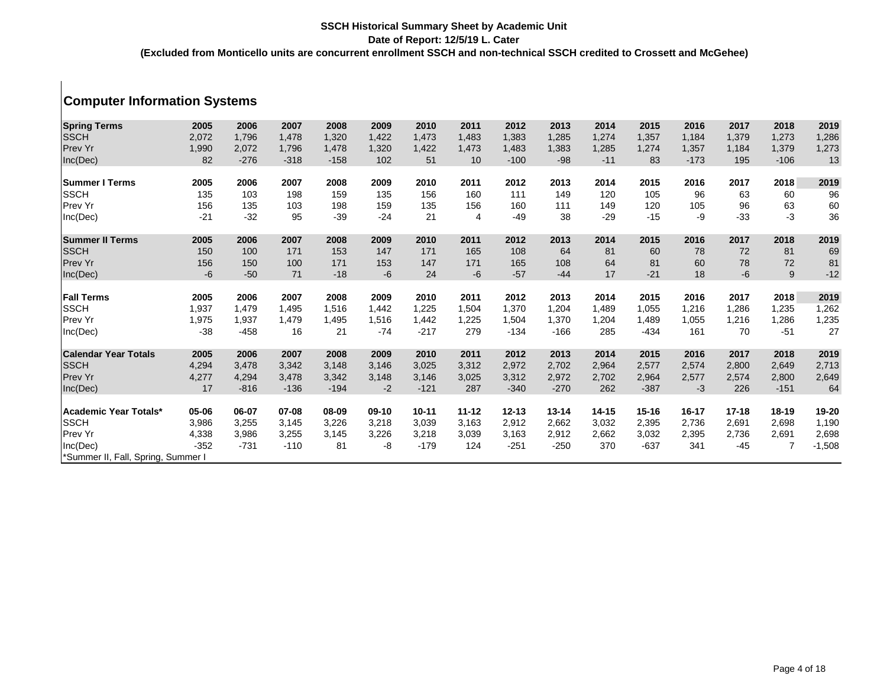# **Computer Information Systems**

| <b>Spring Terms</b><br><b>SSCH</b> | 2005<br>2,072 | 2006<br>1,796 | 2007<br>1,478 | 2008<br>1,320 | 2009<br>1,422 | 2010<br>1,473 | 2011<br>1,483 | 2012<br>1,383 | 2013<br>1,285 | 2014<br>1,274 | 2015<br>1,357 | 2016<br>1,184 | 2017<br>1,379 | 2018<br>1,273 | 2019<br>1,286 |
|------------------------------------|---------------|---------------|---------------|---------------|---------------|---------------|---------------|---------------|---------------|---------------|---------------|---------------|---------------|---------------|---------------|
| Prev Yr                            | 1,990         | 2,072         | 1,796         | 1.478         | 1,320         | 1,422         | 1,473         | 1,483         | 1,383         | 1,285         | 1,274         | 1,357         | 1,184         | 1,379         | 1,273         |
| Inc(Dec)                           | 82            | $-276$        | $-318$        | $-158$        | 102           | 51            | 10            | $-100$        | $-98$         | $-11$         | 83            | $-173$        | 195           | $-106$        | 13            |
|                                    |               |               |               |               |               |               |               |               |               |               |               |               |               |               |               |
| <b>Summer I Terms</b>              | 2005          | 2006          | 2007          | 2008          | 2009          | 2010          | 2011          | 2012          | 2013          | 2014          | 2015          | 2016          | 2017          | 2018          | 2019          |
| <b>SSCH</b>                        | 135           | 103           | 198           | 159           | 135           | 156           | 160           | 111           | 149           | 120           | 105           | 96            | 63            | 60            | 96            |
| Prev Yr                            | 156           | 135           | 103           | 198           | 159           | 135           | 156           | 160           | 111           | 149           | 120           | 105           | 96            | 63            | 60            |
| Inc(Dec)                           | $-21$         | $-32$         | 95            | $-39$         | $-24$         | 21            | 4             | $-49$         | 38            | $-29$         | $-15$         | -9            | $-33$         | $-3$          | 36            |
| <b>Summer II Terms</b>             | 2005          | 2006          | 2007          | 2008          | 2009          | 2010          | 2011          | 2012          | 2013          | 2014          | 2015          | 2016          | 2017          | 2018          | 2019          |
| <b>SSCH</b>                        | 150           | 100           | 171           | 153           | 147           | 171           | 165           | 108           | 64            | 81            | 60            | 78            | 72            | 81            | 69            |
| Prev Yr                            | 156           | 150           | 100           | 171           | 153           | 147           | 171           | 165           | 108           | 64            | 81            | 60            | 78            | 72            | 81            |
| Inc(Dec)                           | $-6$          | $-50$         | 71            | $-18$         | $-6$          | 24            | $-6$          | $-57$         | $-44$         | 17            | $-21$         | 18            | $-6$          | 9             | $-12$         |
|                                    |               |               |               |               |               |               |               |               |               |               |               |               |               |               |               |
| <b>Fall Terms</b>                  | 2005          | 2006          | 2007          | 2008          | 2009          | 2010          | 2011          | 2012          | 2013          | 2014          | 2015          | 2016          | 2017          | 2018          | 2019          |
| <b>SSCH</b>                        | 1,937         | 1,479         | 1,495         | 1,516         | 1,442         | 1,225         | 1,504         | 1,370         | 1,204         | 1,489         | 1,055         | 1,216         | 1,286         | 1,235         | 1,262         |
| Prev Yr                            | 1,975         | 1,937         | 1,479         | 1,495         | 1,516         | 1,442         | 1,225         | 1,504         | 1,370         | 1,204         | 1,489         | 1,055         | 1,216         | 1,286         | 1,235         |
| Inc(Dec)                           | $-38$         | $-458$        | 16            | 21            | $-74$         | $-217$        | 279           | $-134$        | $-166$        | 285           | $-434$        | 161           | 70            | $-51$         | 27            |
| <b>Calendar Year Totals</b>        | 2005          | 2006          | 2007          | 2008          | 2009          | 2010          | 2011          | 2012          | 2013          | 2014          | 2015          | 2016          | 2017          | 2018          | 2019          |
| <b>SSCH</b>                        | 4,294         | 3,478         | 3,342         | 3,148         | 3,146         | 3,025         | 3,312         | 2,972         | 2,702         | 2,964         | 2,577         | 2,574         | 2,800         | 2,649         | 2,713         |
| Prev Yr                            | 4,277         | 4,294         | 3,478         | 3,342         | 3,148         | 3,146         | 3,025         | 3,312         | 2,972         | 2,702         | 2,964         | 2,577         | 2,574         | 2,800         | 2,649         |
| Inc(Dec)                           | 17            | $-816$        | $-136$        | $-194$        | $-2$          | $-121$        | 287           | $-340$        | $-270$        | 262           | $-387$        | $-3$          | 226           | $-151$        | 64            |
|                                    |               |               |               |               |               |               |               |               |               |               |               |               |               |               |               |
| Academic Year Totals*              | 05-06         | 06-07         | 07-08         | 08-09         | $09-10$       | $10 - 11$     | $11 - 12$     | $12 - 13$     | $13 - 14$     | $14 - 15$     | $15 - 16$     | $16 - 17$     | $17 - 18$     | $18 - 19$     | 19-20         |
| <b>SSCH</b>                        | 3,986         | 3,255         | 3,145         | 3,226         | 3,218         | 3,039         | 3,163         | 2,912         | 2,662         | 3,032         | 2,395         | 2,736         | 2,691         | 2,698         | 1,190         |
| <b>Prev Yr</b>                     | 4,338         | 3,986         | 3,255         | 3,145         | 3,226         | 3,218         | 3,039         | 3,163         | 2,912         | 2,662         | 3,032         | 2,395         | 2,736         | 2,691         | 2,698         |
| Inc(Dec)                           | $-352$        | $-731$        | $-110$        | 81            | -8            | $-179$        | 124           | $-251$        | $-250$        | 370           | $-637$        | 341           | $-45$         |               | $-1,508$      |
| *Summer II, Fall, Spring, Summer I |               |               |               |               |               |               |               |               |               |               |               |               |               |               |               |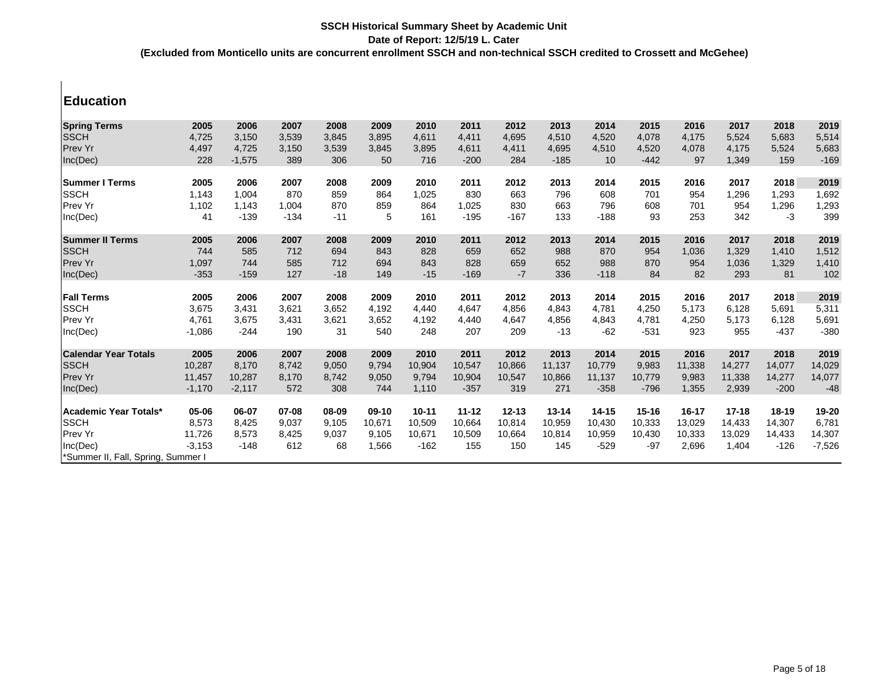### **Education**

| <b>Spring Terms</b>                | 2005     | 2006     | 2007   | 2008  | 2009    | 2010      | 2011      | 2012      | 2013   | 2014      | 2015      | 2016      | 2017      | 2018      | 2019     |
|------------------------------------|----------|----------|--------|-------|---------|-----------|-----------|-----------|--------|-----------|-----------|-----------|-----------|-----------|----------|
| <b>SSCH</b>                        | 4,725    | 3,150    | 3,539  | 3,845 | 3,895   | 4,611     | 4,411     | 4,695     | 4,510  | 4,520     | 4,078     | 4,175     | 5,524     | 5,683     | 5,514    |
| Prev Yr                            | 4,497    | 4,725    | 3.150  | 3,539 | 3,845   | 3,895     | 4,611     | 4,411     | 4,695  | 4,510     | 4,520     | 4.078     | 4,175     | 5,524     | 5,683    |
| Inc(Dec)                           | 228      | $-1,575$ | 389    | 306   | 50      | 716       | $-200$    | 284       | $-185$ | 10        | $-442$    | 97        | 1,349     | 159       | $-169$   |
| <b>Summer I Terms</b>              | 2005     | 2006     | 2007   | 2008  | 2009    | 2010      | 2011      | 2012      | 2013   | 2014      | 2015      | 2016      | 2017      | 2018      | 2019     |
| <b>SSCH</b>                        | 1,143    | 1.004    | 870    | 859   | 864     | 1,025     | 830       | 663       | 796    | 608       | 701       | 954       | 1,296     | 1,293     | 1,692    |
| <b>Prev Yr</b>                     | 1,102    | 1,143    | 1,004  | 870   | 859     | 864       | 1,025     | 830       | 663    | 796       | 608       | 701       | 954       | 1,296     | 1,293    |
| Inc(Dec)                           | 41       | $-139$   | $-134$ | $-11$ | 5       | 161       | $-195$    | $-167$    | 133    | $-188$    | 93        | 253       | 342       | $-3$      | 399      |
| <b>Summer II Terms</b>             | 2005     | 2006     | 2007   | 2008  | 2009    | 2010      | 2011      | 2012      | 2013   | 2014      | 2015      | 2016      | 2017      | 2018      | 2019     |
| <b>SSCH</b>                        | 744      | 585      | 712    | 694   | 843     | 828       | 659       | 652       | 988    | 870       | 954       | 1,036     | 1,329     | 1,410     | 1,512    |
| <b>Prev Yr</b>                     | 1,097    | 744      | 585    | 712   | 694     | 843       | 828       | 659       | 652    | 988       | 870       | 954       | 1,036     | 1,329     | 1,410    |
| Inc(Dec)                           | $-353$   | $-159$   | 127    | $-18$ | 149     | $-15$     | $-169$    | $-7$      | 336    | $-118$    | 84        | 82        | 293       | 81        | 102      |
| <b>Fall Terms</b>                  | 2005     | 2006     | 2007   | 2008  | 2009    | 2010      | 2011      | 2012      | 2013   | 2014      | 2015      | 2016      | 2017      | 2018      | 2019     |
| <b>SSCH</b>                        | 3,675    | 3,431    | 3,621  | 3,652 | 4,192   | 4,440     | 4,647     | 4,856     | 4,843  | 4.781     | 4,250     | 5,173     | 6,128     | 5,691     | 5,311    |
| Prev Yr                            | 4,761    | 3,675    | 3,431  | 3,621 | 3,652   | 4,192     | 4,440     | 4,647     | 4,856  | 4,843     | 4.781     | 4,250     | 5,173     | 6,128     | 5,691    |
| Inc(Dec)                           | $-1,086$ | $-244$   | 190    | 31    | 540     | 248       | 207       | 209       | $-13$  | $-62$     | $-531$    | 923       | 955       | $-437$    | $-380$   |
| <b>Calendar Year Totals</b>        | 2005     | 2006     | 2007   | 2008  | 2009    | 2010      | 2011      | 2012      | 2013   | 2014      | 2015      | 2016      | 2017      | 2018      | 2019     |
| <b>SSCH</b>                        | 10,287   | 8,170    | 8,742  | 9,050 | 9,794   | 10,904    | 10,547    | 10,866    | 11,137 | 10,779    | 9,983     | 11,338    | 14,277    | 14,077    | 14,029   |
| <b>Prev Yr</b>                     | 11,457   | 10,287   | 8,170  | 8,742 | 9,050   | 9,794     | 10,904    | 10,547    | 10,866 | 11,137    | 10,779    | 9,983     | 11,338    | 14,277    | 14,077   |
| Inc(Dec)                           | $-1,170$ | $-2,117$ | 572    | 308   | 744     | 1,110     | $-357$    | 319       | 271    | $-358$    | $-796$    | 1,355     | 2,939     | $-200$    | $-48$    |
| <b>Academic Year Totals*</b>       | 05-06    | 06-07    | 07-08  | 08-09 | $09-10$ | $10 - 11$ | $11 - 12$ | $12 - 13$ | 13-14  | $14 - 15$ | $15 - 16$ | $16 - 17$ | $17 - 18$ | $18 - 19$ | 19-20    |
| <b>SSCH</b>                        | 8,573    | 8,425    | 9,037  | 9.105 | 10,671  | 10,509    | 10,664    | 10,814    | 10,959 | 10,430    | 10,333    | 13,029    | 14,433    | 14,307    | 6,781    |
| <b>Prev Yr</b>                     | 11,726   | 8,573    | 8,425  | 9,037 | 9,105   | 10,671    | 10,509    | 10,664    | 10,814 | 10,959    | 10,430    | 10,333    | 13,029    | 14,433    | 14,307   |
| Inc(Dec)                           | $-3,153$ | $-148$   | 612    | 68    | 1,566   | $-162$    | 155       | 150       | 145    | $-529$    | $-97$     | 2,696     | 1,404     | $-126$    | $-7,526$ |
| *Summer II, Fall, Spring, Summer I |          |          |        |       |         |           |           |           |        |           |           |           |           |           |          |
|                                    |          |          |        |       |         |           |           |           |        |           |           |           |           |           |          |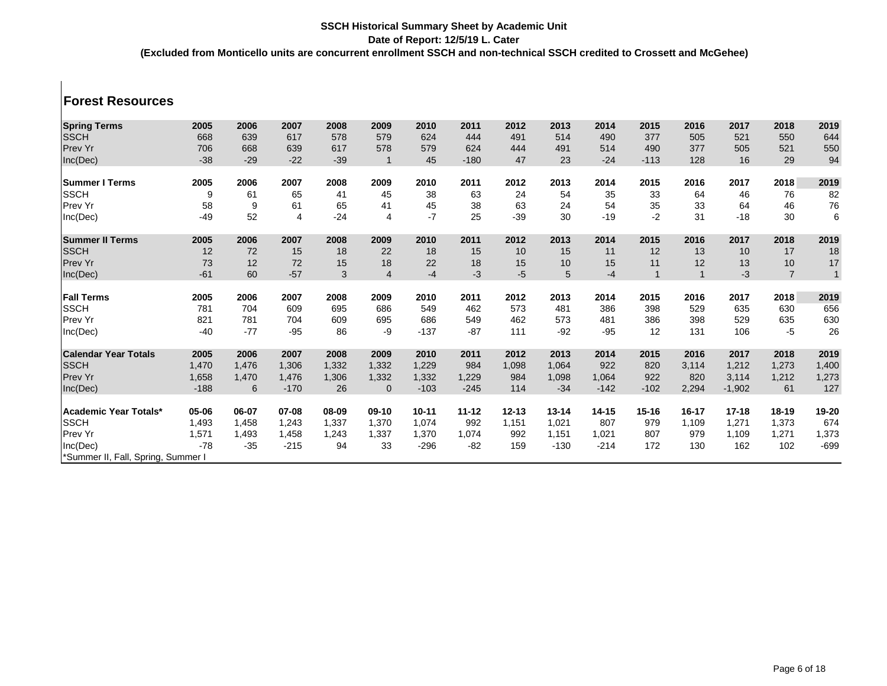### **Forest Resources**

| <b>Spring Terms</b>                | 2005   | 2006  | 2007   | 2008  | 2009           | 2010      | 2011      | 2012      | 2013      | 2014      | 2015         | 2016      | 2017      | 2018           | 2019         |
|------------------------------------|--------|-------|--------|-------|----------------|-----------|-----------|-----------|-----------|-----------|--------------|-----------|-----------|----------------|--------------|
| <b>SSCH</b>                        | 668    | 639   | 617    | 578   | 579            | 624       | 444       | 491       | 514       | 490       | 377          | 505       | 521       | 550            | 644          |
| Prev Yr                            | 706    | 668   | 639    | 617   | 578            | 579       | 624       | 444       | 491       | 514       | 490          | 377       | 505       | 521            | 550          |
| Inc(Dec)                           | $-38$  | $-29$ | $-22$  | $-39$ |                | 45        | $-180$    | 47        | 23        | $-24$     | $-113$       | 128       | 16        | 29             | 94           |
| <b>Summer I Terms</b>              | 2005   | 2006  | 2007   | 2008  | 2009           | 2010      | 2011      | 2012      | 2013      | 2014      | 2015         | 2016      | 2017      | 2018           | 2019         |
| <b>SSCH</b>                        | 9      | 61    | 65     | 41    | 45             | 38        | 63        | 24        | 54        | 35        | 33           | 64        | 46        | 76             | 82           |
| <b>Prev Yr</b>                     | 58     | 9     | 61     | 65    | 41             | 45        | 38        | 63        | 24        | 54        | 35           | 33        | 64        | 46             | ${\bf 76}$   |
| Inc(Dec)                           | $-49$  | 52    | 4      | $-24$ | 4              | $-7$      | 25        | $-39$     | 30        | $-19$     | $-2$         | 31        | $-18$     | $30\,$         | $\,6\,$      |
| <b>Summer II Terms</b>             | 2005   | 2006  | 2007   | 2008  | 2009           | 2010      | 2011      | 2012      | 2013      | 2014      | 2015         | 2016      | 2017      | 2018           | 2019         |
| <b>SSCH</b>                        | 12     | 72    | 15     | 18    | 22             | 18        | 15        | 10        | 15        | 11        | 12           | 13        | 10        | 17             | 18           |
| Prev Yr                            | 73     | 12    | 72     | 15    | 18             | 22        | 18        | 15        | 10        | 15        | 11           | 12        | 13        | 10             | 17           |
| Inc(Dec)                           | $-61$  | 60    | $-57$  | 3     | $\overline{4}$ | $-4$      | $-3$      | $-5$      | 5         | $-4$      | $\mathbf{1}$ |           | $-3$      | $\overline{7}$ | $\mathbf{1}$ |
| <b>Fall Terms</b>                  | 2005   | 2006  | 2007   | 2008  | 2009           | 2010      | 2011      | 2012      | 2013      | 2014      | 2015         | 2016      | 2017      | 2018           | 2019         |
| <b>SSCH</b>                        | 781    | 704   | 609    | 695   | 686            | 549       | 462       | 573       | 481       | 386       | 398          | 529       | 635       | 630            | 656          |
| Prev Yr                            | 821    | 781   | 704    | 609   | 695            | 686       | 549       | 462       | 573       | 481       | 386          | 398       | 529       | 635            | 630          |
| Inc(Dec)                           | $-40$  | $-77$ | $-95$  | 86    | -9             | $-137$    | $-87$     | 111       | $-92$     | $-95$     | 12           | 131       | 106       | $-5$           | 26           |
| <b>Calendar Year Totals</b>        | 2005   | 2006  | 2007   | 2008  | 2009           | 2010      | 2011      | 2012      | 2013      | 2014      | 2015         | 2016      | 2017      | 2018           | 2019         |
| <b>SSCH</b>                        | 1,470  | 1,476 | 1,306  | 1,332 | 1,332          | 1,229     | 984       | 1,098     | 1,064     | 922       | 820          | 3,114     | 1,212     | 1,273          | 1,400        |
| <b>Prev Yr</b>                     | 1,658  | 1,470 | 1,476  | 1,306 | 1,332          | 1,332     | 1,229     | 984       | 1,098     | 1,064     | 922          | 820       | 3,114     | 1,212          | 1,273        |
| Inc(Dec)                           | $-188$ | 6     | $-170$ | 26    | $\mathbf{0}$   | $-103$    | $-245$    | 114       | $-34$     | $-142$    | $-102$       | 2,294     | $-1,902$  | 61             | 127          |
| <b>Academic Year Totals*</b>       | 05-06  | 06-07 | 07-08  | 08-09 | $09-10$        | $10 - 11$ | $11 - 12$ | $12 - 13$ | $13 - 14$ | $14 - 15$ | $15 - 16$    | $16 - 17$ | $17 - 18$ | $18-19$        | 19-20        |
| <b>SSCH</b>                        | 1,493  | 1,458 | 1,243  | 1,337 | 1,370          | 1.074     | 992       | 1,151     | 1,021     | 807       | 979          | 1,109     | 1,271     | 1,373          | 674          |
| Prev Yr                            | 1,571  | 1,493 | 1,458  | 1,243 | 1,337          | 1,370     | 1,074     | 992       | 1,151     | 1,021     | 807          | 979       | 1,109     | 1,271          | 1,373        |
| Inc(Dec)                           | $-78$  | $-35$ | $-215$ | 94    | 33             | $-296$    | $-82$     | 159       | $-130$    | $-214$    | 172          | 130       | 162       | 102            | $-699$       |
| *Summer II, Fall, Spring, Summer I |        |       |        |       |                |           |           |           |           |           |              |           |           |                |              |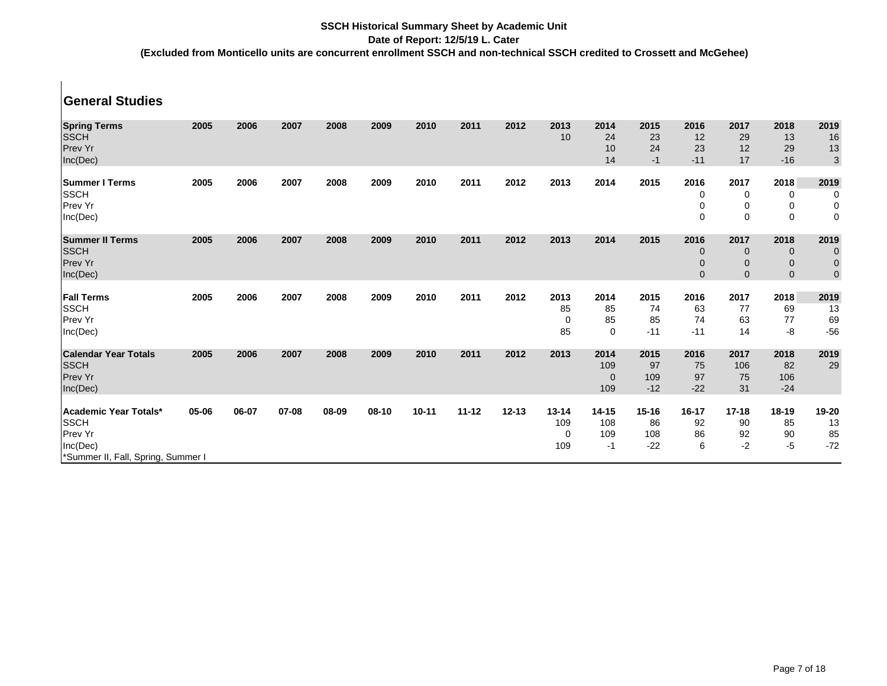## **SSCH Historical Summary Sheet by Academic Unit**

#### **Date of Report: 12/5/19 L. Cater**

**(Excluded from Monticello units are concurrent enrollment SSCH and non-technical SSCH credited to Crossett and McGehee)**

| <b>General Studies</b>                                                                                   |       |       |       |       |       |           |           |           |                                        |                                |                                 |                                   |                                                |                                                   |                                                 |
|----------------------------------------------------------------------------------------------------------|-------|-------|-------|-------|-------|-----------|-----------|-----------|----------------------------------------|--------------------------------|---------------------------------|-----------------------------------|------------------------------------------------|---------------------------------------------------|-------------------------------------------------|
| <b>Spring Terms</b><br><b>SSCH</b><br><b>Prev Yr</b><br>Inc(Dec)                                         | 2005  | 2006  | 2007  | 2008  | 2009  | 2010      | 2011      | 2012      | 2013<br>10                             | 2014<br>24<br>10<br>14         | 2015<br>23<br>24<br>$-1$        | 2016<br>12<br>23<br>$-11$         | 2017<br>29<br>12<br>17                         | 2018<br>13<br>29<br>$-16$                         | 2019<br>16<br>13<br>$\sqrt{3}$                  |
| <b>Summer I Terms</b><br><b>SSCH</b><br>Prev Yr<br>Inc(Dec)                                              | 2005  | 2006  | 2007  | 2008  | 2009  | 2010      | 2011      | 2012      | 2013                                   | 2014                           | 2015                            | 2016<br>0<br>0<br>$\Omega$        | 2017<br>0<br>0<br>$\mathbf 0$                  | 2018<br>0<br>0<br>$\mathbf 0$                     | 2019<br>0<br>0<br>$\mathbf 0$                   |
| <b>Summer II Terms</b><br><b>SSCH</b><br><b>Prev Yr</b><br>Inc(Dec)                                      | 2005  | 2006  | 2007  | 2008  | 2009  | 2010      | 2011      | 2012      | 2013                                   | 2014                           | 2015                            | 2016<br>0<br>$\Omega$<br>$\Omega$ | 2017<br>$\mathbf 0$<br>$\mathbf 0$<br>$\Omega$ | 2018<br>$\mathbf 0$<br>$\mathbf 0$<br>$\mathbf 0$ | 2019<br>$\mathbf 0$<br>$\mathbf 0$<br>$\pmb{0}$ |
| <b>Fall Terms</b><br><b>SSCH</b><br>Prev Yr<br>Inc(Dec)                                                  | 2005  | 2006  | 2007  | 2008  | 2009  | 2010      | 2011      | 2012      | 2013<br>85<br>0<br>85                  | 2014<br>85<br>85<br>$\Omega$   | 2015<br>74<br>85<br>$-11$       | 2016<br>63<br>74<br>$-11$         | 2017<br>77<br>63<br>14                         | 2018<br>69<br>77<br>-8                            | 2019<br>13<br>69<br>$-56$                       |
| <b>Calendar Year Totals</b><br><b>SSCH</b><br><b>Prev Yr</b><br>Inc(Dec)                                 | 2005  | 2006  | 2007  | 2008  | 2009  | 2010      | 2011      | 2012      | 2013                                   | 2014<br>109<br>$\Omega$<br>109 | 2015<br>97<br>109<br>$-12$      | 2016<br>75<br>97<br>$-22$         | 2017<br>106<br>75<br>31                        | 2018<br>82<br>106<br>$-24$                        | 2019<br>29                                      |
| Academic Year Totals*<br><b>SSCH</b><br><b>Prev Yr</b><br>Inc(Dec)<br>*Summer II, Fall, Spring, Summer I | 05-06 | 06-07 | 07-08 | 08-09 | 08-10 | $10 - 11$ | $11 - 12$ | $12 - 13$ | $13 - 14$<br>109<br>$\mathbf 0$<br>109 | $14 - 15$<br>108<br>109<br>-1  | $15 - 16$<br>86<br>108<br>$-22$ | 16-17<br>92<br>86<br>6            | $17 - 18$<br>90<br>92<br>$-2$                  | $18 - 19$<br>85<br>90<br>$-5$                     | 19-20<br>13<br>85<br>$-72$                      |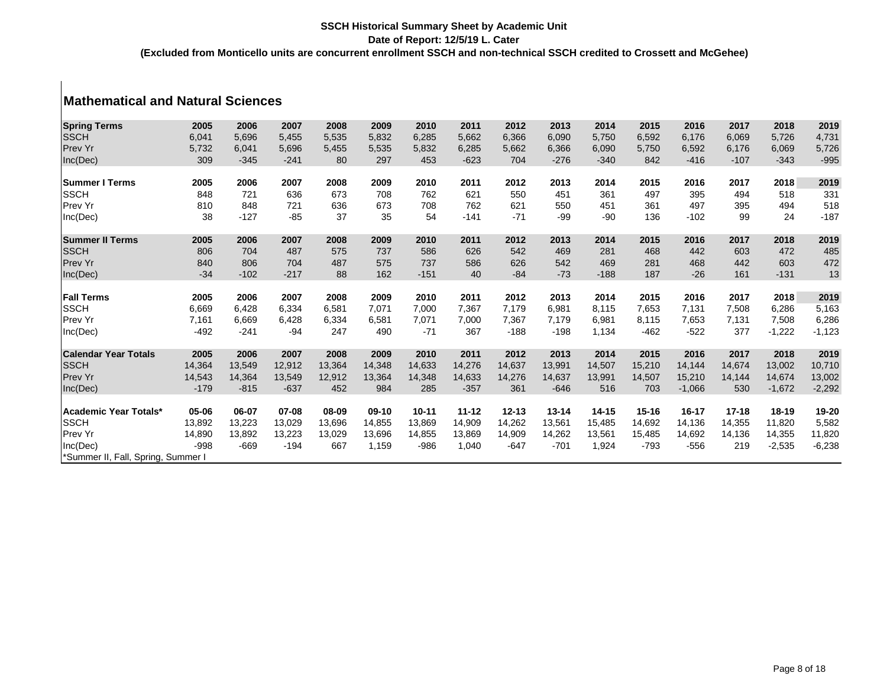# **Mathematical and Natural Sciences**

| <b>Spring Terms</b>                                                                     | 2005                                                    | 2006                                 | 2007                                 | 2008                              | 2009                                | 2010                                 | 2011                                | 2012                                 | 2013                                 | 2014                                | 2015                                           | 2016                                 | 2017                              | 2018                                            | 2019                                                                                                                     |
|-----------------------------------------------------------------------------------------|---------------------------------------------------------|--------------------------------------|--------------------------------------|-----------------------------------|-------------------------------------|--------------------------------------|-------------------------------------|--------------------------------------|--------------------------------------|-------------------------------------|------------------------------------------------|--------------------------------------|-----------------------------------|-------------------------------------------------|--------------------------------------------------------------------------------------------------------------------------|
| <b>SSCH</b>                                                                             | 6,041                                                   | 5,696                                | 5,455                                | 5,535                             | 5,832                               | 6,285                                | 5,662                               | 6,366                                | 6,090                                | 5,750                               | 6,592                                          | 6,176                                | 6,069                             | 5,726                                           | 4,731                                                                                                                    |
| Prev Yr                                                                                 | 5,732                                                   | 6,041                                | 5,696                                | 5,455                             | 5,535                               | 5,832                                | 6,285                               | 5,662                                | 6,366                                | 6,090                               | 5,750                                          | 6,592                                | 6,176                             | 6,069                                           | 5,726                                                                                                                    |
| Inc(Dec)                                                                                | 309                                                     | $-345$                               | $-241$                               | 80                                | 297                                 | 453                                  | $-623$                              | 704                                  | $-276$                               | $-340$                              | 842                                            | $-416$                               | $-107$                            | $-343$                                          | $-995$                                                                                                                   |
|                                                                                         |                                                         |                                      |                                      |                                   |                                     |                                      |                                     |                                      |                                      |                                     |                                                |                                      |                                   |                                                 |                                                                                                                          |
| <b>Summer I Terms</b>                                                                   | 2005                                                    | 2006                                 | 2007                                 | 2008                              | 2009                                | 2010                                 | 2011                                | 2012                                 | 2013                                 | 2014                                | 2015                                           | 2016                                 | 2017                              | 2018                                            | 2019                                                                                                                     |
| <b>SSCH</b>                                                                             | 848                                                     | 721                                  | 636                                  | 673                               | 708                                 | 762                                  | 621                                 | 550                                  | 451                                  | 361                                 | 497                                            | 395                                  | 494                               | 518                                             | 331                                                                                                                      |
| Prev Yr                                                                                 | 810                                                     | 848                                  | 721                                  | 636                               | 673                                 | 708                                  | 762                                 | 621                                  | 550                                  | 451                                 | 361                                            | 497                                  | 395                               | 494                                             |                                                                                                                          |
| Inc(Dec)                                                                                | 38                                                      | $-127$                               | $-85$                                | 37                                | 35                                  | 54                                   | $-141$                              | $-71$                                | $-99$                                | $-90$                               | 136                                            | $-102$                               | 99                                | 24                                              | $-187$                                                                                                                   |
|                                                                                         |                                                         |                                      |                                      |                                   |                                     |                                      |                                     |                                      |                                      |                                     |                                                |                                      |                                   |                                                 |                                                                                                                          |
| <b>Summer II Terms</b>                                                                  | 2005                                                    | 2006                                 | 2007                                 | 2008                              | 2009                                | 2010                                 | 2011                                | 2012                                 | 2013                                 | 2014                                | 2015                                           | 2016                                 | 2017                              | 2018                                            | 2019                                                                                                                     |
| <b>SSCH</b>                                                                             | 806                                                     | 704                                  | 487                                  | 575                               | 737                                 | 586                                  | 626                                 | 542                                  | 469                                  | 281                                 | 468                                            | 442                                  | 603                               | 472                                             | 485                                                                                                                      |
| Prev Yr                                                                                 | 840                                                     | 806                                  | 704                                  | 487                               | 575                                 | 737                                  | 586                                 | 626                                  | 542                                  | 469                                 | 281                                            | 468                                  | 442                               | 603                                             |                                                                                                                          |
| Inc(Dec)                                                                                | $-34$                                                   | $-102$                               | $-217$                               | 88                                | 162                                 | $-151$                               | 40                                  | $-84$                                | $-73$                                | $-188$                              | 187                                            | $-26$                                | 161                               | $-131$                                          | 13                                                                                                                       |
|                                                                                         |                                                         |                                      |                                      |                                   |                                     |                                      |                                     |                                      |                                      |                                     |                                                |                                      |                                   |                                                 |                                                                                                                          |
| <b>Fall Terms</b>                                                                       | 2005                                                    | 2006                                 | 2007                                 | 2008                              | 2009                                | 2010                                 | 2011                                | 2012                                 | 2013                                 | 2014                                | 2015                                           | 2016                                 | 2017                              | 2018                                            | 2019                                                                                                                     |
|                                                                                         |                                                         | 6,428                                | 6,334                                | 6,581                             | 7,071                               | 7,000                                | 7,367                               | 7,179                                | 6,981                                | 8,115                               | 7,653                                          | 7,131                                | 7,508                             | 6,286                                           |                                                                                                                          |
| Prev Yr                                                                                 | 7,161                                                   | 6,669                                | 6,428                                | 6,334                             | 6,581                               | 7,071                                | 7,000                               | 7,367                                | 7,179                                | 6,981                               | 8.115                                          | 7,653                                | 7,131                             |                                                 |                                                                                                                          |
|                                                                                         | $-492$                                                  | $-241$                               | $-94$                                | 247                               | 490                                 | $-71$                                | 367                                 | $-188$                               | $-198$                               | 1,134                               | $-462$                                         | $-522$                               | 377                               | $-1,222$                                        |                                                                                                                          |
|                                                                                         |                                                         |                                      |                                      |                                   |                                     |                                      |                                     |                                      |                                      |                                     |                                                |                                      |                                   |                                                 |                                                                                                                          |
| <b>Calendar Year Totals</b>                                                             | 2005                                                    | 2006                                 | 2007                                 | 2008                              | 2009                                | 2010                                 | 2011                                | 2012                                 | 2013                                 | 2014                                | 2015                                           | 2016                                 | 2017                              | 2018                                            |                                                                                                                          |
|                                                                                         |                                                         | 13,549                               | 12,912                               | 13,364                            | 14,348                              | 14,633                               | 14,276                              | 14,637                               | 13,991                               | 14,507                              |                                                | 14,144                               | 14,674                            | 13,002                                          |                                                                                                                          |
|                                                                                         |                                                         |                                      |                                      |                                   |                                     |                                      |                                     |                                      |                                      |                                     |                                                |                                      |                                   |                                                 |                                                                                                                          |
| Inc(Dec)                                                                                | $-179$                                                  | $-815$                               | $-637$                               | 452                               | 984                                 | 285                                  | $-357$                              | 361                                  | $-646$                               | 516                                 | 703                                            | $-1,066$                             | 530                               | $-1,672$                                        |                                                                                                                          |
|                                                                                         |                                                         |                                      |                                      |                                   |                                     |                                      |                                     |                                      |                                      |                                     |                                                |                                      |                                   |                                                 |                                                                                                                          |
| Academic Year Totals*                                                                   | 05-06                                                   | 06-07                                | 07-08                                | 08-09                             | $09-10$                             | $10 - 11$                            | $11 - 12$                           | $12 - 13$                            | $13 - 14$                            | $14 - 15$                           | $15 - 16$                                      | $16 - 17$                            | $17 - 18$                         | $18 - 19$                                       |                                                                                                                          |
|                                                                                         |                                                         |                                      |                                      |                                   |                                     |                                      |                                     |                                      |                                      |                                     |                                                |                                      |                                   |                                                 |                                                                                                                          |
|                                                                                         |                                                         |                                      |                                      |                                   |                                     |                                      |                                     |                                      |                                      |                                     |                                                |                                      |                                   |                                                 |                                                                                                                          |
|                                                                                         |                                                         |                                      |                                      |                                   |                                     |                                      |                                     |                                      |                                      |                                     |                                                |                                      |                                   |                                                 |                                                                                                                          |
| Summer II, Fall, Spring, Summer I                                                       |                                                         |                                      |                                      |                                   |                                     |                                      |                                     |                                      |                                      |                                     |                                                |                                      |                                   |                                                 |                                                                                                                          |
| <b>SSCH</b><br>Inc(Dec)<br><b>SSCH</b><br>Prev Yr<br><b>SSCH</b><br>Prev Yr<br>Inc(Dec) | 6,669<br>14,364<br>14,543<br>13,892<br>14,890<br>$-998$ | 14,364<br>13,223<br>13,892<br>$-669$ | 13,549<br>13,029<br>13,223<br>$-194$ | 12,912<br>13,696<br>13,029<br>667 | 13,364<br>14,855<br>13,696<br>1,159 | 14,348<br>13,869<br>14,855<br>$-986$ | 14,633<br>14,909<br>13,869<br>1,040 | 14,276<br>14,262<br>14,909<br>$-647$ | 14,637<br>13,561<br>14,262<br>$-701$ | 13,991<br>15,485<br>13,561<br>1,924 | 15,210<br>14,507<br>14,692<br>15,485<br>$-793$ | 15,210<br>14,136<br>14,692<br>$-556$ | 14,144<br>14,355<br>14,136<br>219 | 7,508<br>14,674<br>11,820<br>14,355<br>$-2,535$ | 518<br>472<br>5,163<br>6,286<br>$-1,123$<br>2019<br>10,710<br>13,002<br>$-2,292$<br>19-20<br>5,582<br>11,820<br>$-6,238$ |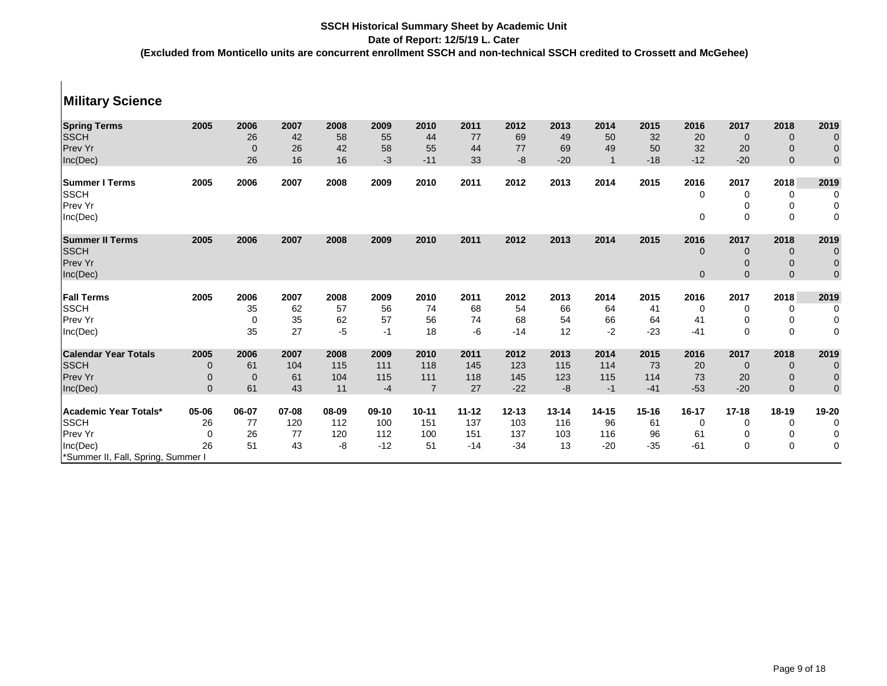#### **Military Science Spring Terms 2005 2006 2007 2008 2009 2010 2011 2012 2013 2014 2015 2016 2017 2018 2019** SSCH 26 42 58 55 44 77 69 49 50 32 20 0 0 0 Prev Yr 0 26 42 58 55 44 77 69 49 50 32 20 0 0 Inc(Dec) 26 16 16 -3 -11 33 -8 -20 1 -18 -12 -20 0 0 **Summer I Terms 2005 2006 2007 2008 2009 2010 2011 2012 2013 2014 2015 2016 2017 2018 2019**  $\begin{matrix} \text{S} \text{S} \text{CH} \end{matrix}$  , and the contract of the contract of  $\begin{matrix} 0 & 0 & 0 \ 0 & 0 & 0 \end{matrix}$ Prev Yr 0 0 0 Inc(Dec) 0 0 0 0 **Summer II Terms 2005 2006 2007 2008 2009 2010 2011 2012 2013 2014 2015 2016 2017 2018 2019** SSCH 0 0 0 0 Prev Yr 1990 – 1990 – 1990 – 1990 – 1990 – 1990 – 1990 – 1990 – 1990 – 1990 – 1990 – 1990 – 1990 – 1990 – 1990 Inc(Dec) 0 0 0 0 **Fall Terms 2005 2006 2007 2008 2009 2010 2011 2012 2013 2014 2015 2016 2017 2018 2019** SSCH 35 62 57 56 74 68 54 66 64 41 0 0 0 Prev Yr 0 35 62 57 56 74 68 54 66 64 41 0 0 0 Inc(Dec) 35 27 -5 -1 18 -6 -14 12 -2 -23 -41 0 0 0 **Calendar Year Totals 2005 2006 2007 2008 2009 2010 2011 2012 2013 2014 2015 2016 2017 2018 2019** SSCH 0 61 104 115 111 118 145 123 115 114 73 20 0 0 0 Prev Yr 0 0 61 104 115 111 118 145 123 115 114 73 20 0 0 Inc(Dec) 0 61 43 11 -4 7 27 -22 -8 -1 -41 -53 -20 0 0 **Academic Year Totals\* 05-06 06-07 07-08 08-09 09-10 10-11 11-12 12-13 13-14 14-15 15-16 16-17 17-18 18-19 19-20** SSCH 26 77 120 112 100 151 137 103 116 96 61 0 0 0 0 Prev Yr 0 26 77 120 112 100 151 137 103 116 96 61 0 0 0 Inc(Dec) 26 51 43 -8 -12 51 -14 -34 13 -20 -35 -61 0 0 0 \*Summer II, Fall, Spring, Summer I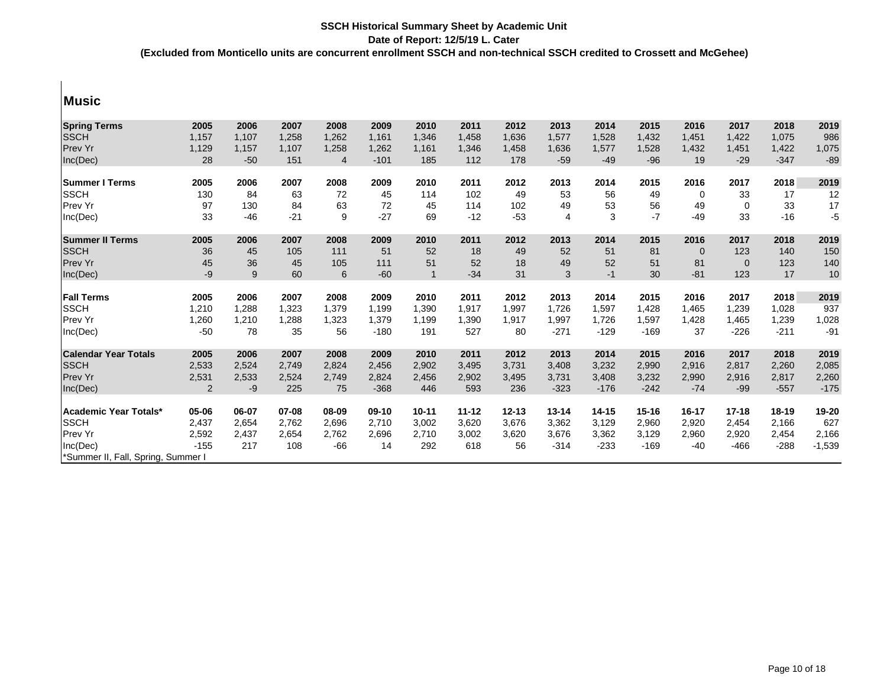|   | L |  |
|---|---|--|
| w |   |  |
|   |   |  |

 $\mathbf{I}$ 

| <b>Spring Terms</b>                | 2005           | 2006  | 2007  | 2008           | 2009    | 2010           | 2011      | 2012      | 2013           | 2014      | 2015      | 2016        | 2017        | 2018      | 2019     |
|------------------------------------|----------------|-------|-------|----------------|---------|----------------|-----------|-----------|----------------|-----------|-----------|-------------|-------------|-----------|----------|
| <b>SSCH</b>                        | 1,157          | 1,107 | 1,258 | 1,262          | 1,161   | 1,346          | 1,458     | 1,636     | 1,577          | 1,528     | 1,432     | 1,451       | 1,422       | 1,075     | 986      |
| Prev Yr                            | 1,129          | 1,157 | 1,107 | 1,258          | 1,262   | 1,161          | 1,346     | 1,458     | 1,636          | 1,577     | 1,528     | 1,432       | 1,451       | 1,422     | 1,075    |
| Inc(Dec)                           | 28             | $-50$ | 151   | $\overline{4}$ | $-101$  | 185            | 112       | 178       | $-59$          | $-49$     | $-96$     | 19          | $-29$       | $-347$    | $-89$    |
| <b>Summer I Terms</b>              | 2005           | 2006  | 2007  | 2008           | 2009    | 2010           | 2011      | 2012      | 2013           | 2014      | 2015      | 2016        | 2017        | 2018      | 2019     |
| <b>SSCH</b>                        | 130            | 84    | 63    | 72             | 45      | 114            | 102       | 49        | 53             | 56        | 49        | $\Omega$    | 33          | 17        | 12       |
| Prev Yr                            | 97             | 130   | 84    | 63             | 72      | 45             | 114       | 102       | 49             | 53        | 56        | 49          | $\Omega$    | 33        | 17       |
| Inc(Dec)                           | 33             | $-46$ | $-21$ | 9              | $-27$   | 69             | $-12$     | $-53$     | $\overline{4}$ | 3         | $-7$      | $-49$       | 33          | $-16$     | $-5$     |
| <b>Summer II Terms</b>             | 2005           | 2006  | 2007  | 2008           | 2009    | 2010           | 2011      | 2012      | 2013           | 2014      | 2015      | 2016        | 2017        | 2018      | 2019     |
| <b>SSCH</b>                        | 36             | 45    | 105   | 111            | 51      | 52             | 18        | 49        | 52             | 51        | 81        | $\mathbf 0$ | 123         | 140       | 150      |
| <b>Prev Yr</b>                     | 45             | 36    | 45    | 105            | 111     | 51             | 52        | 18        | 49             | 52        | 51        | 81          | $\mathbf 0$ | 123       | 140      |
| Inc(Dec)                           | -9             | 9     | 60    | 6              | $-60$   | $\overline{1}$ | $-34$     | 31        | 3              | $-1$      | 30        | $-81$       | 123         | 17        | 10       |
| <b>Fall Terms</b>                  | 2005           | 2006  | 2007  | 2008           | 2009    | 2010           | 2011      | 2012      | 2013           | 2014      | 2015      | 2016        | 2017        | 2018      | 2019     |
| <b>SSCH</b>                        | 1,210          | 1,288 | 1.323 | 1.379          | 1.199   | 1,390          | 1,917     | 1,997     | 1.726          | 1,597     | 1.428     | 1.465       | 1,239       | 1,028     | 937      |
| <b>Prev Yr</b>                     | 1,260          | 1,210 | 1,288 | 1,323          | 1,379   | 1,199          | 1,390     | 1,917     | 1,997          | 1,726     | 1,597     | 1,428       | 1,465       | 1,239     | 1,028    |
| Inc(Dec)                           | $-50$          | 78    | 35    | 56             | $-180$  | 191            | 527       | 80        | $-271$         | $-129$    | $-169$    | 37          | $-226$      | $-211$    | $-91$    |
| <b>Calendar Year Totals</b>        | 2005           | 2006  | 2007  | 2008           | 2009    | 2010           | 2011      | 2012      | 2013           | 2014      | 2015      | 2016        | 2017        | 2018      | 2019     |
| <b>SSCH</b>                        | 2,533          | 2,524 | 2,749 | 2,824          | 2,456   | 2,902          | 3,495     | 3,731     | 3,408          | 3,232     | 2,990     | 2,916       | 2,817       | 2,260     | 2,085    |
| <b>Prev Yr</b>                     | 2,531          | 2,533 | 2,524 | 2,749          | 2,824   | 2,456          | 2,902     | 3,495     | 3,731          | 3,408     | 3,232     | 2,990       | 2,916       | 2,817     | 2,260    |
| Inc(Dec)                           | $\overline{2}$ | -9    | 225   | 75             | $-368$  | 446            | 593       | 236       | $-323$         | $-176$    | $-242$    | $-74$       | $-99$       | $-557$    | $-175$   |
| <b>Academic Year Totals*</b>       | 05-06          | 06-07 | 07-08 | 08-09          | $09-10$ | $10 - 11$      | $11 - 12$ | $12 - 13$ | $13 - 14$      | $14 - 15$ | $15 - 16$ | 16-17       | $17 - 18$   | $18 - 19$ | 19-20    |
| <b>SSCH</b>                        | 2,437          | 2,654 | 2,762 | 2,696          | 2,710   | 3,002          | 3,620     | 3,676     | 3,362          | 3,129     | 2,960     | 2,920       | 2,454       | 2,166     | 627      |
| <b>Prev Yr</b>                     | 2,592          | 2,437 | 2,654 | 2,762          | 2,696   | 2,710          | 3,002     | 3,620     | 3,676          | 3,362     | 3,129     | 2,960       | 2,920       | 2,454     | 2,166    |
| Inc(Dec)                           | $-155$         | 217   | 108   | $-66$          | 14      | 292            | 618       | 56        | $-314$         | $-233$    | $-169$    | $-40$       | $-466$      | $-288$    | $-1,539$ |
| *Summer II, Fall, Spring, Summer I |                |       |       |                |         |                |           |           |                |           |           |             |             |           |          |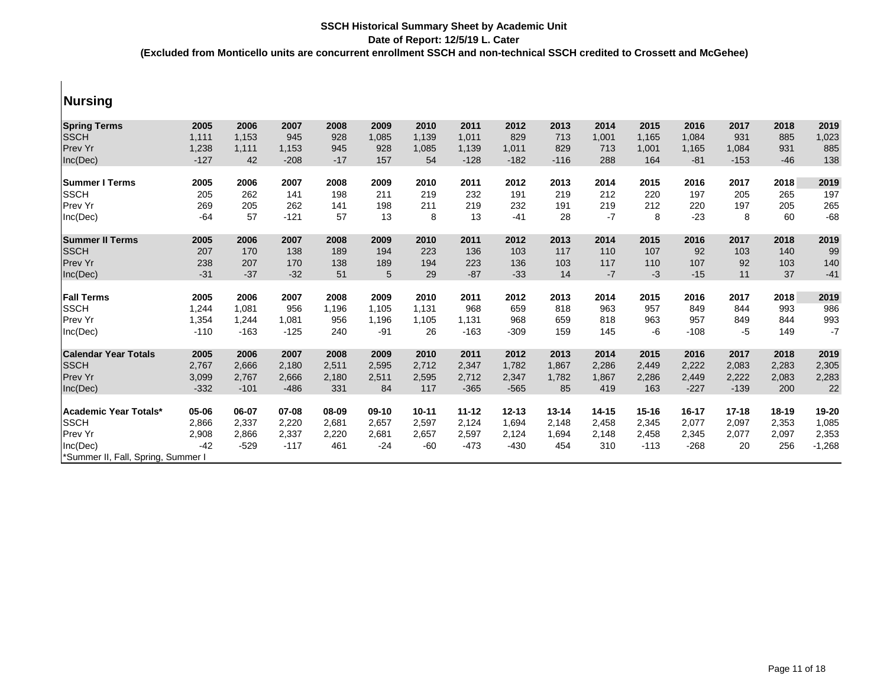### **Nursing**

| <b>Spring Terms</b>                | 2005           | 2006   | 2007   | 2008  | 2009    | 2010      | 2011      | 2012      | 2013      | 2014      | 2015      | 2016      | 2017      | 2018      | 2019     |
|------------------------------------|----------------|--------|--------|-------|---------|-----------|-----------|-----------|-----------|-----------|-----------|-----------|-----------|-----------|----------|
| <b>SSCH</b>                        | 1,111          | 1,153  | 945    | 928   | 1,085   | 1,139     | 1,011     | 829       | 713       | 1,001     | 1,165     | 1,084     | 931       | 885       | 1,023    |
| Prev Yr                            | 1,238          | 1,111  | 1,153  | 945   | 928     | 1,085     | 1,139     | 1,011     | 829       | 713       | 1,001     | 1,165     | 1,084     | 931       | 885      |
| Inc(Dec)                           | $-127$         | 42     | $-208$ | $-17$ | 157     | 54        | $-128$    | $-182$    | $-116$    | 288       | 164       | $-81$     | $-153$    | $-46$     | 138      |
| <b>Summer I Terms</b>              | 2005           | 2006   | 2007   | 2008  | 2009    | 2010      | 2011      | 2012      | 2013      | 2014      | 2015      | 2016      | 2017      | 2018      | 2019     |
| <b>SSCH</b>                        | 205            | 262    | 141    | 198   | 211     | 219       | 232       | 191       | 219       | 212       | 220       | 197       | 205       | 265       | 197      |
|                                    |                |        |        |       |         |           |           |           |           |           |           |           |           |           |          |
| <b>Prev Yr</b>                     | 269            | 205    | 262    | 141   | 198     | 211       | 219       | 232       | 191       | 219       | 212       | 220       | 197       | 205       | 265      |
| Inc(Dec)                           | $-64$          | 57     | $-121$ | 57    | 13      | 8         | 13        | $-41$     | 28        | $-7$      | 8         | $-23$     | 8         | 60        | $-68$    |
| <b>Summer II Terms</b>             | 2005           | 2006   | 2007   | 2008  | 2009    | 2010      | 2011      | 2012      | 2013      | 2014      | 2015      | 2016      | 2017      | 2018      | 2019     |
| <b>SSCH</b>                        | 207            | 170    | 138    | 189   | 194     | 223       | 136       | 103       | 117       | 110       | 107       | 92        | 103       | 140       | 99       |
| <b>Prev Yr</b>                     | 238            | 207    | 170    | 138   | 189     | 194       | 223       | 136       | 103       | 117       | 110       | 107       | 92        | 103       | 140      |
| Inc(Dec)                           | $-31$          | $-37$  | $-32$  | 51    | 5       | 29        | $-87$     | $-33$     | 14        | $-7$      | $-3$      | $-15$     | 11        | 37        | $-41$    |
| <b>Fall Terms</b>                  | 2005           | 2006   | 2007   | 2008  | 2009    | 2010      | 2011      | 2012      | 2013      | 2014      | 2015      | 2016      | 2017      | 2018      | 2019     |
| <b>SSCH</b>                        | 1,244          | 1,081  | 956    | 1,196 | 1.105   | 1,131     | 968       | 659       | 818       | 963       | 957       | 849       | 844       | 993       | 986      |
| Prev Yr                            | 1,354          | 1,244  | 1,081  | 956   | 1,196   | 1,105     | 1,131     | 968       | 659       | 818       | 963       | 957       | 849       | 844       | 993      |
| Inc(Dec)                           | $-110$         | $-163$ | $-125$ | 240   | $-91$   | 26        | $-163$    | $-309$    | 159       | 145       | -6        | $-108$    | $-5$      | 149       | $-7$     |
|                                    |                |        |        |       |         |           |           |           |           |           |           |           |           |           |          |
| <b>Calendar Year Totals</b>        | 2005           | 2006   | 2007   | 2008  | 2009    | 2010      | 2011      | 2012      | 2013      | 2014      | 2015      | 2016      | 2017      | 2018      | 2019     |
| <b>SSCH</b>                        | 2,767          | 2,666  | 2,180  | 2,511 | 2,595   | 2,712     | 2,347     | 1,782     | 1,867     | 2,286     | 2,449     | 2,222     | 2,083     | 2,283     | 2,305    |
| <b>Prev Yr</b>                     | 3,099          | 2,767  | 2,666  | 2,180 | 2,511   | 2,595     | 2,712     | 2,347     | 1,782     | 1,867     | 2,286     | 2,449     | 2,222     | 2,083     | 2,283    |
| Inc(Dec)                           | $-332$         | $-101$ | $-486$ | 331   | 84      | 117       | $-365$    | $-565$    | 85        | 419       | 163       | $-227$    | $-139$    | 200       | 22       |
| <b>Academic Year Totals*</b>       | 05-06          | 06-07  | 07-08  | 08-09 | $09-10$ | $10 - 11$ | $11 - 12$ | $12 - 13$ | $13 - 14$ | $14 - 15$ | $15 - 16$ | $16 - 17$ | $17 - 18$ | $18 - 19$ | 19-20    |
| <b>SSCH</b>                        |                | 2,337  | 2,220  | 2,681 | 2,657   | 2,597     | 2,124     | 1,694     | 2,148     | 2,458     | 2,345     | 2,077     | 2,097     | 2,353     | 1,085    |
| <b>Prev Yr</b>                     | 2,866          | 2,866  | 2,337  | 2,220 | 2,681   | 2,657     | 2,597     | 2,124     | 1,694     | 2,148     | 2,458     | 2,345     | 2,077     | 2,097     | 2,353    |
| Inc(Dec)                           | 2,908<br>$-42$ | $-529$ | $-117$ | 461   | $-24$   | $-60$     | $-473$    | $-430$    | 454       | 310       | $-113$    | $-268$    | 20        | 256       | $-1,268$ |
|                                    |                |        |        |       |         |           |           |           |           |           |           |           |           |           |          |
| *Summer II, Fall, Spring, Summer I |                |        |        |       |         |           |           |           |           |           |           |           |           |           |          |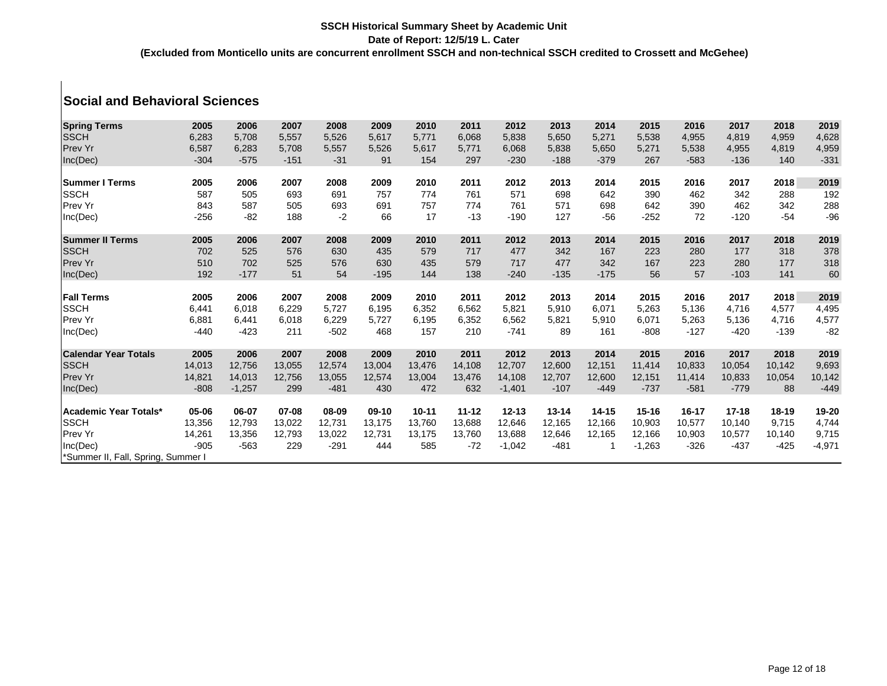# **Social and Behavioral Sciences**

| <b>Spring Terms</b><br><b>SSCH</b> | 2005<br>6,283   | 2006<br>5,708   | 2007<br>5,557   | 2008<br>5,526  | 2009<br>5,617 | 2010<br>5,771 | 2011<br>6,068 | 2012<br>5,838   | 2013<br>5,650   | 2014<br>5,271   | 2015<br>5,538 | 2016<br>4,955   | 2017<br>4,819   | 2018<br>4,959 | 2019<br>4,628   |
|------------------------------------|-----------------|-----------------|-----------------|----------------|---------------|---------------|---------------|-----------------|-----------------|-----------------|---------------|-----------------|-----------------|---------------|-----------------|
| Prev Yr<br>Inc(Dec)                | 6,587<br>$-304$ | 6,283<br>$-575$ | 5,708<br>$-151$ | 5,557<br>$-31$ | 5,526<br>91   | 5,617<br>154  | 5,771<br>297  | 6,068<br>$-230$ | 5,838<br>$-188$ | 5,650<br>$-379$ | 5,271<br>267  | 5,538<br>$-583$ | 4,955<br>$-136$ | 4,819<br>140  | 4,959<br>$-331$ |
| <b>Summer I Terms</b>              | 2005            | 2006            | 2007            | 2008           | 2009          | 2010          | 2011          | 2012            | 2013            | 2014            | 2015          | 2016            | 2017            | 2018          | 2019            |
| <b>SSCH</b>                        | 587             | 505             | 693             | 691            | 757           | 774           | 761           | 571             | 698             | 642             | 390           | 462             | 342             | 288           | 192             |
| Prev Yr<br>Inc(Dec)                | 843<br>$-256$   | 587<br>$-82$    | 505<br>188      | 693<br>$-2$    | 691<br>66     | 757<br>17     | 774<br>$-13$  | 761<br>$-190$   | 571<br>127      | 698<br>$-56$    | 642<br>$-252$ | 390<br>72       | 462<br>$-120$   | 342<br>$-54$  | 288<br>$-96$    |
| <b>Summer II Terms</b>             | 2005            | 2006            | 2007            | 2008           | 2009          | 2010          | 2011          | 2012            | 2013            | 2014            | 2015          | 2016            | 2017            | 2018          | 2019            |
| <b>SSCH</b>                        | 702             | 525             | 576             | 630            | 435           | 579           | 717           | 477             | 342             | 167             | 223           | 280             | 177             | 318           | 378             |
| Prev Yr                            | 510             | 702             | 525             | 576            | 630           | 435           | 579           | 717             | 477             | 342             | 167           | 223             | 280             | 177           | 318             |
| Inc(Dec)                           | 192             | $-177$          | 51              | 54             | $-195$        | 144           | 138           | $-240$          | $-135$          | $-175$          | 56            | 57              | $-103$          | 141           | 60              |
| <b>Fall Terms</b>                  | 2005            | 2006            | 2007            | 2008           | 2009          | 2010          | 2011          | 2012            | 2013            | 2014            | 2015          | 2016            | 2017            | 2018          | 2019            |
| <b>SSCH</b>                        |                 | 6,018           | 6,229           | 5,727          | 6,195         | 6,352         | 6,562         | 5,821           | 5,910           | 6,071           | 5,263         | 5,136           | 4,716           | 4,577         | 4,495           |
| Prev Yr                            | 6,441<br>6,881  | 6,441           | 6,018           | 6,229          | 5,727         | 6,195         | 6,352         | 6,562           | 5,821           | 5,910           | 6,071         | 5,263           | 5,136           | 4,716         | 4,577           |
| Inc(Dec)                           | $-440$          | $-423$          | 211             | $-502$         | 468           | 157           | 210           | $-741$          | 89              | 161             | $-808$        | $-127$          | $-420$          | $-139$        | $-82$           |
| <b>Calendar Year Totals</b>        | 2005            | 2006            | 2007            | 2008           | 2009          | 2010          | 2011          | 2012            | 2013            | 2014            | 2015          | 2016            | 2017            | 2018          | 2019            |
| <b>SSCH</b>                        | 14,013          | 12,756          | 13,055          | 12,574         | 13,004        | 13,476        | 14,108        | 12,707          | 12,600          | 12,151          | 11,414        | 10,833          | 10,054          | 10,142        | 9,693           |
| Prev Yr                            | 14,821          | 14,013          | 12,756          | 13,055         | 12,574        | 13,004        | 13,476        | 14,108          | 12,707          | 12,600          | 12,151        | 11,414          | 10,833          | 10,054        | 10,142          |
| Inc(Dec)                           | $-808$          | $-1,257$        | 299             | $-481$         | 430           | 472           | 632           | $-1,401$        | $-107$          | $-449$          | $-737$        | $-581$          | $-779$          | 88            | $-449$          |
| Academic Year Totals*              | 05-06           | 06-07           | 07-08           | 08-09          | $09-10$       | $10 - 11$     | $11 - 12$     | $12 - 13$       | $13 - 14$       | $14 - 15$       | $15 - 16$     | 16-17           | $17 - 18$       | $18 - 19$     | 19-20           |
| <b>SSCH</b>                        | 13,356          | 12,793          | 13,022          | 12,731         | 13,175        | 13,760        | 13,688        | 12,646          | 12,165          | 12,166          | 10,903        | 10,577          | 10,140          | 9,715         | 4,744           |
| Prev Yr                            | 14,261          | 13,356          | 12,793          | 13,022         | 12,731        | 13,175        | 13,760        | 13,688          | 12,646          | 12,165          | 12,166        | 10,903          | 10,577          | 10,140        | 9,715           |
| Inc(Dec)                           | $-905$          | $-563$          | 229             | $-291$         | 444           | 585           | $-72$         | $-1,042$        | $-481$          |                 | $-1,263$      | $-326$          | $-437$          | $-425$        | $-4,971$        |
| *Summer II, Fall, Spring, Summer I |                 |                 |                 |                |               |               |               |                 |                 |                 |               |                 |                 |               |                 |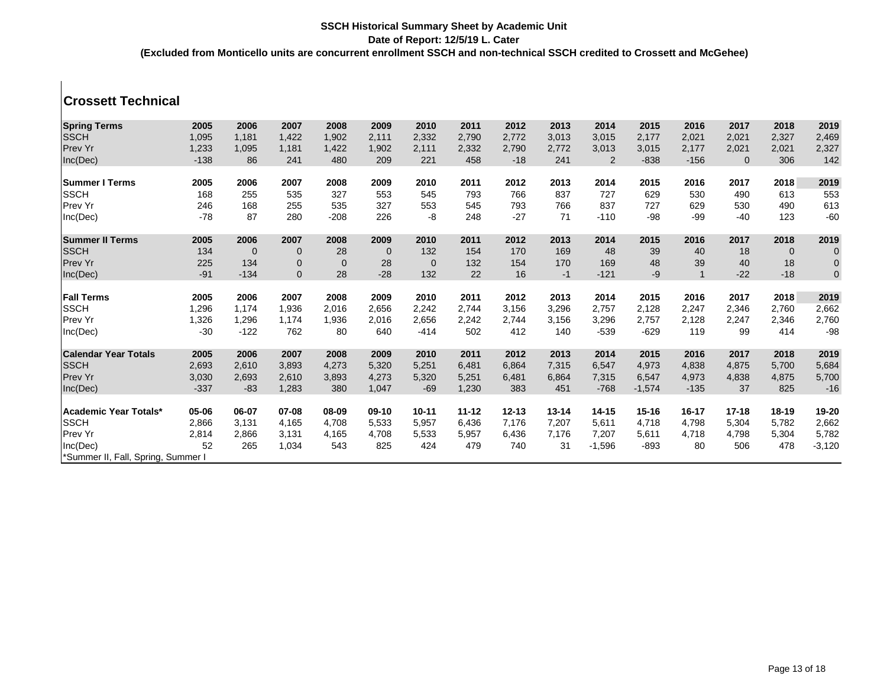## **Crossett Technical**

| <b>Spring Terms</b>                | 2005   | 2006        | 2007         | 2008        | 2009        | 2010         | 2011      | 2012      | 2013      | 2014      | 2015      | 2016      | 2017        | 2018           | 2019                |
|------------------------------------|--------|-------------|--------------|-------------|-------------|--------------|-----------|-----------|-----------|-----------|-----------|-----------|-------------|----------------|---------------------|
| <b>SSCH</b>                        | 1,095  | 1,181       | 1,422        | 1,902       | 2,111       | 2,332        | 2,790     | 2,772     | 3,013     | 3,015     | 2,177     | 2,021     | 2,021       | 2,327          | 2,469               |
| Prev Yr                            | 1,233  | 1,095       | 1.181        | 1.422       | 1,902       |              | 2,332     | 2,790     | 2,772     | 3,013     | 3,015     | 2.177     | 2,021       |                |                     |
|                                    |        |             |              |             |             | 2,111        |           |           |           |           |           |           |             | 2,021          | 2,327               |
| Inc(Dec)                           | $-138$ | 86          | 241          | 480         | 209         | 221          | 458       | $-18$     | 241       | 2         | $-838$    | $-156$    | $\mathbf 0$ | 306            | 142                 |
| <b>Summer I Terms</b>              | 2005   | 2006        | 2007         | 2008        | 2009        | 2010         | 2011      | 2012      | 2013      | 2014      | 2015      | 2016      | 2017        | 2018           | 2019                |
| <b>SSCH</b>                        | 168    | 255         | 535          | 327         | 553         | 545          | 793       | 766       | 837       | 727       | 629       | 530       | 490         | 613            | 553                 |
| <b>Prev Yr</b>                     | 246    | 168         | 255          | 535         | 327         | 553          | 545       | 793       | 766       | 837       | 727       | 629       | 530         | 490            | 613                 |
| Inc(Dec)                           | $-78$  | 87          | 280          | $-208$      | 226         | -8           | 248       | $-27$     | 71        | $-110$    | -98       | $-99$     | $-40$       | 123            | $-60$               |
| <b>Summer II Terms</b>             | 2005   | 2006        | 2007         | 2008        | 2009        | 2010         | 2011      | 2012      | 2013      | 2014      | 2015      | 2016      | 2017        | 2018           | 2019                |
| <b>SSCH</b>                        | 134    | $\mathbf 0$ | $\mathbf 0$  | 28          | $\mathbf 0$ | 132          | 154       | 170       | 169       | 48        | 39        | 40        | 18          | $\overline{0}$ | $\mathbf 0$         |
| <b>Prev Yr</b>                     | 225    | 134         | $\mathbf 0$  | $\mathbf 0$ | 28          | $\mathbf{0}$ | 132       | 154       | 170       | 169       | 48        | 39        | 40          | 18             | $\pmb{0}$           |
| Inc(Dec)                           | $-91$  | $-134$      | $\mathbf{0}$ | 28          | $-28$       | 132          | 22        | 16        | $-1$      | $-121$    | $-9$      |           | $-22$       | $-18$          | $\mathsf{O}\xspace$ |
| <b>Fall Terms</b>                  | 2005   | 2006        | 2007         | 2008        | 2009        | 2010         | 2011      | 2012      | 2013      | 2014      | 2015      | 2016      | 2017        | 2018           | 2019                |
| <b>SSCH</b>                        | 1,296  | 1.174       | 1,936        | 2,016       | 2,656       | 2,242        | 2,744     | 3,156     | 3,296     | 2,757     | 2,128     | 2,247     | 2,346       | 2,760          | 2,662               |
| Prev Yr                            | 1,326  | 1,296       | 1,174        | 1,936       | 2,016       | 2,656        | 2,242     | 2,744     | 3,156     | 3,296     | 2,757     | 2,128     | 2,247       | 2,346          | 2,760               |
| Inc(Dec)                           | $-30$  | $-122$      | 762          | 80          | 640         | $-414$       | 502       | 412       | 140       | $-539$    | $-629$    | 119       | 99          | 414            | $-98$               |
| <b>Calendar Year Totals</b>        | 2005   | 2006        | 2007         | 2008        | 2009        | 2010         | 2011      | 2012      | 2013      | 2014      | 2015      | 2016      | 2017        | 2018           | 2019                |
| <b>SSCH</b>                        | 2,693  | 2,610       | 3,893        | 4,273       | 5,320       | 5,251        | 6,481     | 6,864     | 7,315     | 6,547     | 4,973     | 4,838     | 4,875       | 5,700          | 5,684               |
| <b>Prev Yr</b>                     | 3,030  | 2,693       | 2,610        | 3,893       | 4,273       | 5,320        | 5,251     | 6,481     | 6,864     | 7,315     | 6,547     | 4,973     | 4,838       | 4,875          | 5,700               |
| Inc(Dec)                           | $-337$ | $-83$       | 1,283        | 380         | 1,047       | $-69$        | 1,230     | 383       | 451       | $-768$    | $-1,574$  | $-135$    | 37          | 825            | $-16$               |
| <b>Academic Year Totals*</b>       | 05-06  | 06-07       | 07-08        | 08-09       | $09-10$     | $10 - 11$    | $11 - 12$ | $12 - 13$ | $13 - 14$ | $14 - 15$ | $15 - 16$ | $16 - 17$ | $17 - 18$   | $18 - 19$      | 19-20               |
| <b>SSCH</b>                        | 2,866  | 3,131       | 4,165        | 4.708       | 5,533       | 5,957        | 6,436     | 7,176     | 7,207     | 5,611     | 4,718     | 4,798     | 5,304       | 5,782          | 2,662               |
| Prev Yr                            | 2,814  | 2,866       | 3,131        | 4,165       | 4,708       | 5,533        | 5,957     | 6,436     | 7,176     | 7,207     | 5,611     | 4,718     | 4,798       | 5,304          | 5,782               |
| Inc(Dec)                           | 52     | 265         | 1,034        | 543         | 825         | 424          | 479       | 740       | 31        | $-1,596$  | $-893$    | 80        | 506         | 478            | $-3,120$            |
|                                    |        |             |              |             |             |              |           |           |           |           |           |           |             |                |                     |
| *Summer II, Fall, Spring, Summer I |        |             |              |             |             |              |           |           |           |           |           |           |             |                |                     |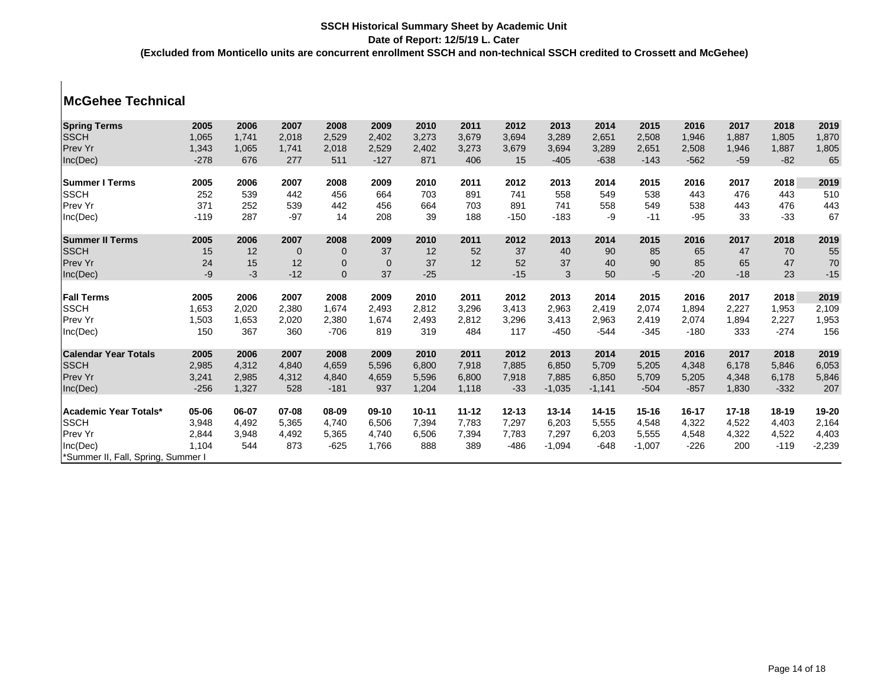## **McGehee Technical**

| <b>Spring Terms</b>                | 2005   | 2006  | 2007           | 2008         | 2009         | 2010      | 2011      | 2012      | 2013      | 2014      | 2015      | 2016      | 2017      | 2018      | 2019     |
|------------------------------------|--------|-------|----------------|--------------|--------------|-----------|-----------|-----------|-----------|-----------|-----------|-----------|-----------|-----------|----------|
| <b>SSCH</b>                        | 1,065  | 1,741 | 2,018          | 2,529        | 2,402        | 3,273     | 3,679     | 3,694     | 3,289     | 2,651     | 2,508     | 1,946     | 1,887     | 1,805     | 1,870    |
| Prev Yr                            | 1,343  | 1,065 | 1,741          | 2,018        | 2,529        | 2,402     | 3,273     | 3,679     | 3,694     | 3,289     | 2,651     | 2,508     | 1,946     | 1,887     | 1,805    |
|                                    | $-278$ | 676   | 277            | 511          | $-127$       | 871       | 406       | 15        | $-405$    | $-638$    | $-143$    | $-562$    | $-59$     | $-82$     | 65       |
| Inc(Dec)                           |        |       |                |              |              |           |           |           |           |           |           |           |           |           |          |
| <b>Summer I Terms</b>              | 2005   | 2006  | 2007           | 2008         | 2009         | 2010      | 2011      | 2012      | 2013      | 2014      | 2015      | 2016      | 2017      | 2018      | 2019     |
| <b>SSCH</b>                        | 252    | 539   | 442            | 456          | 664          | 703       | 891       | 741       | 558       | 549       | 538       | 443       | 476       | 443       | 510      |
| Prev Yr                            | 371    | 252   | 539            | 442          | 456          | 664       | 703       | 891       | 741       | 558       | 549       | 538       | 443       | 476       | 443      |
| Inc(Dec)                           | $-119$ | 287   | $-97$          | 14           | 208          | 39        | 188       | $-150$    | $-183$    | -9        | $-11$     | $-95$     | 33        | $-33$     | 67       |
| <b>Summer II Terms</b>             | 2005   | 2006  | 2007           | 2008         | 2009         | 2010      | 2011      | 2012      | 2013      | 2014      | 2015      | 2016      | 2017      | 2018      | 2019     |
| <b>SSCH</b>                        | 15     | 12    | $\overline{0}$ | $\mathbf 0$  | 37           | 12        | 52        | 37        | 40        | 90        | 85        | 65        | 47        | 70        | 55       |
| Prev Yr                            | 24     | 15    | 12             | $\mathbf{0}$ | $\mathbf{0}$ | 37        | 12        | 52        | 37        | 40        | 90        | 85        | 65        | 47        | 70       |
| Inc(Dec)                           | -9     | $-3$  | $-12$          | $\mathbf{0}$ | 37           | $-25$     |           | $-15$     | 3         | 50        | $-5$      | $-20$     | $-18$     | 23        | $-15$    |
|                                    |        |       |                |              |              |           |           |           |           |           |           |           |           |           |          |
| <b>Fall Terms</b>                  | 2005   | 2006  | 2007           | 2008         | 2009         | 2010      | 2011      | 2012      | 2013      | 2014      | 2015      | 2016      | 2017      | 2018      | 2019     |
| <b>SSCH</b>                        | 1,653  | 2,020 | 2,380          | 1,674        | 2,493        | 2,812     | 3,296     | 3,413     | 2,963     | 2,419     | 2,074     | 1,894     | 2,227     | 1,953     | 2,109    |
| Prev Yr                            | 1,503  | 1,653 | 2,020          | 2,380        | 1,674        | 2,493     | 2,812     | 3,296     | 3,413     | 2,963     | 2,419     | 2,074     | 1,894     | 2,227     | 1,953    |
| Inc(Dec)                           | 150    | 367   | 360            | $-706$       | 819          | 319       | 484       | 117       | $-450$    | $-544$    | $-345$    | $-180$    | 333       | $-274$    | 156      |
| <b>Calendar Year Totals</b>        | 2005   | 2006  | 2007           | 2008         | 2009         | 2010      | 2011      | 2012      | 2013      | 2014      | 2015      | 2016      | 2017      | 2018      | 2019     |
| <b>SSCH</b>                        | 2,985  | 4,312 | 4,840          | 4,659        | 5,596        | 6,800     | 7,918     | 7,885     | 6,850     | 5,709     | 5,205     | 4,348     | 6,178     | 5,846     | 6,053    |
| Prev Yr                            | 3,241  | 2,985 | 4,312          | 4,840        | 4,659        | 5,596     | 6,800     | 7,918     | 7,885     | 6,850     | 5,709     | 5,205     | 4,348     | 6,178     | 5,846    |
| Inc(Dec)                           | $-256$ | 1,327 | 528            | $-181$       | 937          | 1,204     | 1,118     | $-33$     | $-1,035$  | $-1,141$  | $-504$    | $-857$    | 1,830     | $-332$    | 207      |
|                                    |        |       |                |              |              |           |           |           |           |           |           |           |           |           |          |
| Academic Year Totals*              | 05-06  | 06-07 | 07-08          | 08-09        | $09-10$      | $10 - 11$ | $11 - 12$ | $12 - 13$ | $13 - 14$ | $14 - 15$ | $15 - 16$ | $16 - 17$ | $17 - 18$ | $18 - 19$ | 19-20    |
| <b>SSCH</b>                        | 3,948  | 4,492 | 5,365          | 4,740        | 6,506        | 7,394     | 7,783     | 7,297     | 6,203     | 5,555     | 4,548     | 4,322     | 4,522     | 4,403     | 2,164    |
| Prev Yr                            | 2,844  | 3,948 | 4,492          | 5,365        | 4,740        | 6,506     | 7,394     | 7,783     | 7,297     | 6,203     | 5,555     | 4,548     | 4,322     | 4,522     | 4,403    |
| Inc(Dec)                           | 1,104  | 544   | 873            | $-625$       | 1,766        | 888       | 389       | $-486$    | $-1,094$  | $-648$    | $-1,007$  | $-226$    | 200       | $-119$    | $-2,239$ |
| *Summer II, Fall, Spring, Summer I |        |       |                |              |              |           |           |           |           |           |           |           |           |           |          |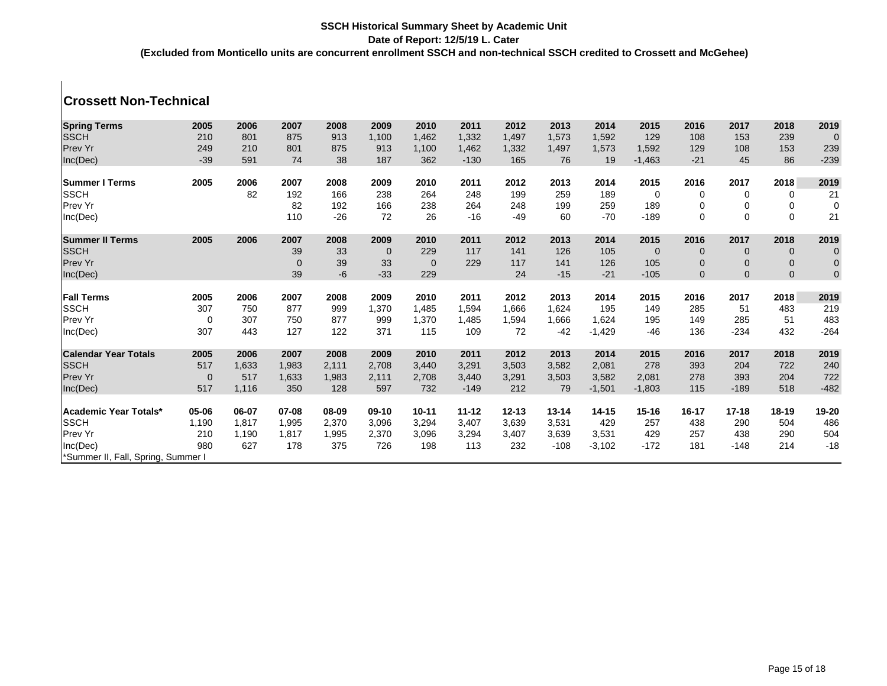## **Crossett Non-Technical**

| <b>Spring Terms</b>                | 2005        | 2006  | 2007         | 2008  | 2009        | 2010         | 2011      | 2012      | 2013      | 2014      | 2015        | 2016           | 2017        | 2018        | 2019        |
|------------------------------------|-------------|-------|--------------|-------|-------------|--------------|-----------|-----------|-----------|-----------|-------------|----------------|-------------|-------------|-------------|
| <b>SSCH</b>                        | 210         | 801   | 875          | 913   | 1,100       | 1,462        | 1,332     | 1,497     | 1,573     | 1,592     | 129         | 108            | 153         | 239         | $\mathbf 0$ |
| Prev Yr                            | 249         | 210   | 801          | 875   | 913         | 1,100        | 1,462     | 1,332     | 1,497     | 1,573     | 1,592       | 129            | 108         | 153         | 239         |
| Inc(Dec)                           | $-39$       | 591   | 74           | 38    | 187         | 362          | $-130$    | 165       | 76        | 19        | $-1,463$    | $-21$          | 45          | 86          | $-239$      |
| <b>Summer I Terms</b>              | 2005        | 2006  | 2007         | 2008  | 2009        | 2010         | 2011      | 2012      | 2013      | 2014      | 2015        | 2016           | 2017        | 2018        | 2019        |
| <b>SSCH</b>                        |             | 82    | 192          | 166   | 238         | 264          | 248       | 199       | 259       | 189       | 0           | 0              | 0           | 0           | 21          |
| Prev Yr                            |             |       | 82           | 192   | 166         | 238          | 264       | 248       | 199       | 259       | 189         | 0              | 0           | 0           | $\pmb{0}$   |
| Inc(Dec)                           |             |       | 110          | $-26$ | 72          | 26           | $-16$     | $-49$     | 60        | $-70$     | $-189$      | $\mathbf 0$    | $\mathbf 0$ | $\mathbf 0$ | 21          |
| <b>Summer II Terms</b>             | 2005        | 2006  | 2007         | 2008  | 2009        | 2010         | 2011      | 2012      | 2013      | 2014      | 2015        | 2016           | 2017        | 2018        | 2019        |
| <b>SSCH</b>                        |             |       | 39           | 33    | $\mathbf 0$ | 229          | 117       | 141       | 126       | 105       | $\mathbf 0$ | $\overline{0}$ | $\mathbf 0$ | $\mathbf 0$ | $\mathbf 0$ |
| Prev Yr                            |             |       | $\mathbf{0}$ | 39    | 33          | $\mathbf{0}$ | 229       | 117       | 141       | 126       | 105         | $\mathbf 0$    | $\mathbf 0$ | $\mathbf 0$ | $\pmb{0}$   |
| Inc(Dec)                           |             |       | 39           | $-6$  | $-33$       | 229          |           | 24        | $-15$     | $-21$     | $-105$      | $\mathbf{0}$   | $\mathbf 0$ | $\mathbf 0$ | $\mathbf 0$ |
|                                    | 2005        | 2006  |              |       |             |              |           |           | 2013      |           |             |                |             |             |             |
| <b>Fall Terms</b>                  |             |       | 2007         | 2008  | 2009        | 2010         | 2011      | 2012      |           | 2014      | 2015        | 2016           | 2017        | 2018        | 2019        |
| <b>SSCH</b>                        | 307         | 750   | 877          | 999   | 1,370       | 1,485        | 1,594     | 1,666     | 1,624     | 195       | 149         | 285            | 51          | 483         | 219         |
| Prev Yr                            | 0           | 307   | 750          | 877   | 999         | 1,370        | 1,485     | 1,594     | 1,666     | 1,624     | 195         | 149            | 285         | 51          | 483         |
| Inc(Dec)                           | 307         | 443   | 127          | 122   | 371         | 115          | 109       | 72        | $-42$     | $-1,429$  | $-46$       | 136            | $-234$      | 432         | $-264$      |
| <b>Calendar Year Totals</b>        | 2005        | 2006  | 2007         | 2008  | 2009        | 2010         | 2011      | 2012      | 2013      | 2014      | 2015        | 2016           | 2017        | 2018        | 2019        |
| <b>SSCH</b>                        | 517         | 1,633 | 1,983        | 2,111 | 2,708       | 3,440        | 3,291     | 3,503     | 3,582     | 2,081     | 278         | 393            | 204         | 722         | 240         |
| Prev Yr                            | $\mathbf 0$ | 517   | 1,633        | 1,983 | 2,111       | 2,708        | 3,440     | 3,291     | 3,503     | 3,582     | 2,081       | 278            | 393         | 204         | 722         |
| Inc(Dec)                           | 517         | 1,116 | 350          | 128   | 597         | 732          | $-149$    | 212       | 79        | $-1,501$  | $-1,803$    | 115            | $-189$      | 518         | $-482$      |
|                                    | 05-06       | 06-07 | 07-08        | 08-09 |             |              | $11 - 12$ | $12 - 13$ | $13 - 14$ | $14 - 15$ | $15 - 16$   |                |             | $18-19$     |             |
| Academic Year Totals*              |             |       |              |       | $09-10$     | $10 - 11$    |           |           |           |           |             | $16 - 17$      | $17 - 18$   |             | 19-20       |
| <b>SSCH</b>                        | 1,190       | 1,817 | 1,995        | 2,370 | 3,096       | 3,294        | 3,407     | 3,639     | 3,531     | 429       | 257         | 438            | 290         | 504         | 486         |
| Prev Yr                            | 210         | 1,190 | 1,817        | 1,995 | 2,370       | 3,096        | 3,294     | 3,407     | 3,639     | 3,531     | 429         | 257            | 438         | 290         | 504         |
| Inc(Dec)                           | 980         | 627   | 178          | 375   | 726         | 198          | 113       | 232       | $-108$    | $-3,102$  | $-172$      | 181            | $-148$      | 214         | $-18$       |
| *Summer II, Fall, Spring, Summer I |             |       |              |       |             |              |           |           |           |           |             |                |             |             |             |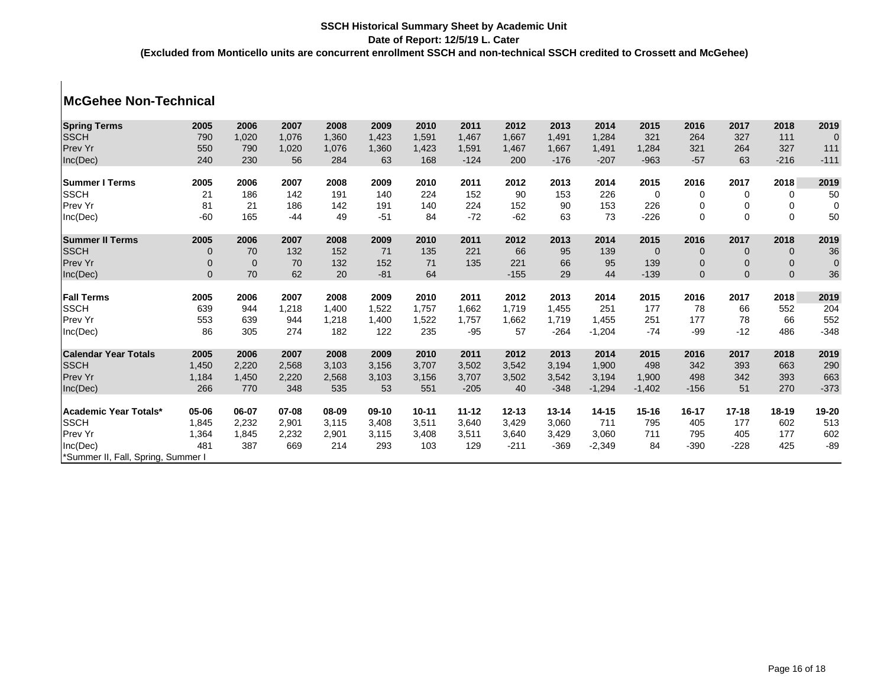# **McGehee Non-Technical**

| <b>Spring Terms</b>                | 2005         | 2006         | 2007         | 2008         | 2009        | 2010         | 2011            | 2012        | 2013      | 2014      | 2015        | 2016           | 2017        | 2018        | 2019          |
|------------------------------------|--------------|--------------|--------------|--------------|-------------|--------------|-----------------|-------------|-----------|-----------|-------------|----------------|-------------|-------------|---------------|
| <b>SSCH</b>                        | 790          | 1,020        | 1,076        | 1,360        | 1,423       | 1,591        | 1,467           | 1,667       | 1,491     | 1,284     | 321         | 264            | 327         | 111         | $\mathbf 0$   |
| Prev Yr                            | 550          | 790          | 1,020        | 1,076        | 1,360       | 1,423        | 1,591           | 1,467       | 1,667     | 1,491     | 1,284       | 321            | 264         | 327         | 111           |
| Inc(Dec)                           | 240          | 230          | 56           | 284          | 63          | 168          | $-124$          | 200         | $-176$    | $-207$    | $-963$      | $-57$          | 63          | $-216$      | $-111$        |
|                                    |              |              |              |              |             |              |                 |             |           |           |             |                |             |             |               |
| <b>Summer I Terms</b>              | 2005         | 2006         | 2007         | 2008         | 2009        | 2010         | 2011            | 2012        | 2013      | 2014      | 2015        | 2016           | 2017        | 2018        | 2019          |
| <b>SSCH</b>                        | 21           | 186          | 142          | 191          | 140         | 224          | 152             | 90          | 153       | 226       | $\mathbf 0$ | 0              | 0           | 0           | 50            |
| Prev Yr                            | 81           | 21           | 186          | 142          | 191         | 140          | 224             | 152         | 90        | 153       | 226         | 0              | 0           | 0           | $\mathbf 0$   |
| Inc(Dec)                           | $-60$        | 165          | $-44$        | 49           | $-51$       | 84           | $-72$           | $-62$       | 63        | 73        | $-226$      | $\mathbf 0$    | $\mathbf 0$ | $\mathbf 0$ | 50            |
| <b>Summer II Terms</b>             | 2005         | 2006         | 2007         | 2008         | 2009        | 2010         | 2011            | 2012        | 2013      | 2014      | 2015        | 2016           | 2017        | 2018        | 2019          |
| <b>SSCH</b>                        | $\mathbf 0$  | 70           | 132          | 152          | 71          | 135          | 221             | 66          | 95        | 139       | $\mathbf 0$ | $\overline{0}$ | $\mathbf 0$ | $\mathbf 0$ | 36            |
| Prev Yr                            | $\mathbf 0$  | $\mathbf{0}$ | 70           | 132          | 152         | 71           | 135             | 221         | 66        | 95        | 139         | $\mathbf 0$    | $\mathbf 0$ | $\mathbf 0$ | $\mathbf 0$   |
| Inc(Dec)                           | $\mathbf{0}$ | 70           | 62           | 20           | $-81$       | 64           |                 | $-155$      | 29        | 44        | $-139$      | $\mathbf{0}$   | $\mathbf 0$ | $\mathbf 0$ | 36            |
|                                    |              |              |              |              |             |              |                 |             |           |           |             |                |             |             |               |
| <b>Fall Terms</b>                  | 2005         | 2006         | 2007         | 2008         | 2009        | 2010         | 2011            | 2012        | 2013      | 2014      | 2015        | 2016           | 2017        | 2018        | 2019          |
| <b>SSCH</b>                        | 639          | 944          | 1,218        | 1,400        | 1,522       | 1,757        | 1,662           | 1,719       | 1,455     | 251       | 177         | 78             | 66          | 552         | 204           |
| Prev Yr                            | 553          | 639          | 944          | 1,218        | 1,400       | 1,522        | 1,757           | 1,662       | 1,719     | 1,455     | 251         | 177            | 78          | 66          | 552           |
| Inc(Dec)                           | 86           | 305          | 274          | 182          | 122         | 235          | $-95$           | 57          | $-264$    | $-1,204$  | $-74$       | $-99$          | $-12$       | 486         | $-348$        |
| <b>Calendar Year Totals</b>        | 2005         | 2006         | 2007         | 2008         | 2009        | 2010         | 2011            | 2012        | 2013      | 2014      | 2015        | 2016           | 2017        | 2018        | 2019          |
| <b>SSCH</b>                        | 1,450        | 2,220        | 2,568        | 3,103        | 3,156       | 3,707        | 3,502           | 3,542       | 3,194     | 1,900     | 498         | 342            | 393         | 663         | 290           |
| Prev Yr                            | 1,184        |              |              |              |             |              |                 |             | 3,542     | 3,194     | 1,900       | 498            | 342         | 393         |               |
|                                    | 266          | 1,450<br>770 | 2,220<br>348 | 2,568<br>535 | 3,103<br>53 | 3,156<br>551 | 3,707<br>$-205$ | 3,502<br>40 | $-348$    | $-1,294$  | $-1,402$    | $-156$         | 51          | 270         | 663<br>$-373$ |
| Inc(Dec)                           |              |              |              |              |             |              |                 |             |           |           |             |                |             |             |               |
| Academic Year Totals*              | 05-06        | 06-07        | 07-08        | 08-09        | $09-10$     | $10 - 11$    | $11 - 12$       | $12 - 13$   | $13 - 14$ | $14 - 15$ | $15 - 16$   | $16 - 17$      | $17 - 18$   | $18-19$     | 19-20         |
| <b>SSCH</b>                        | 1,845        | 2,232        | 2,901        | 3,115        | 3,408       | 3,511        | 3,640           | 3,429       | 3,060     | 711       | 795         | 405            | 177         | 602         | 513           |
| Prev Yr                            | 1,364        | 1,845        | 2,232        | 2,901        | 3,115       | 3,408        | 3,511           | 3,640       | 3,429     | 3,060     | 711         | 795            | 405         | 177         | 602           |
| Inc(Dec)                           | 481          | 387          | 669          | 214          | 293         | 103          | 129             | $-211$      | $-369$    | $-2,349$  | 84          | $-390$         | $-228$      | 425         | $-89$         |
| *Summer II, Fall, Spring, Summer I |              |              |              |              |             |              |                 |             |           |           |             |                |             |             |               |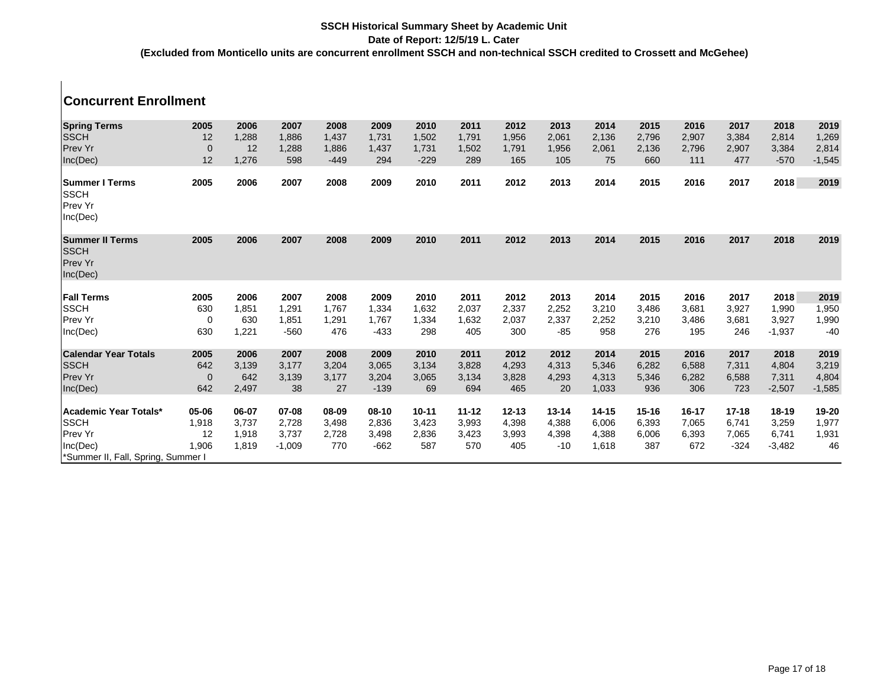| <b>Concurrent Enrollment</b>                                 |                |       |          |        |         |           |           |           |           |           |           |       |           |           |          |
|--------------------------------------------------------------|----------------|-------|----------|--------|---------|-----------|-----------|-----------|-----------|-----------|-----------|-------|-----------|-----------|----------|
| <b>Spring Terms</b>                                          | 2005           | 2006  | 2007     | 2008   | 2009    | 2010      | 2011      | 2012      | 2013      | 2014      | 2015      | 2016  | 2017      | 2018      | 2019     |
| <b>SSCH</b>                                                  | 12             | 1,288 | 1,886    | 1,437  | 1,731   | 1,502     | 1,791     | 1,956     | 2,061     | 2,136     | 2,796     | 2,907 | 3,384     | 2,814     | 1,269    |
| Prev Yr                                                      | $\mathbf 0$    | 12    | 1.288    | 1,886  | 1,437   | 1,731     | 1,502     | 1,791     | 1,956     | 2,061     | 2,136     | 2,796 | 2,907     | 3,384     | 2,814    |
| Inc(Dec)                                                     | 12             | 1,276 | 598      | $-449$ | 294     | $-229$    | 289       | 165       | 105       | 75        | 660       | 111   | 477       | $-570$    | $-1,545$ |
| <b>Summer I Terms</b><br><b>SSCH</b><br>Prev Yr<br>Inc(Dec)  | 2005           | 2006  | 2007     | 2008   | 2009    | 2010      | 2011      | 2012      | 2013      | 2014      | 2015      | 2016  | 2017      | 2018      | 2019     |
| <b>Summer II Terms</b><br><b>SSCH</b><br>Prev Yr<br>Inc(Dec) | 2005           | 2006  | 2007     | 2008   | 2009    | 2010      | 2011      | 2012      | 2013      | 2014      | 2015      | 2016  | 2017      | 2018      | 2019     |
| <b>Fall Terms</b>                                            | 2005           | 2006  | 2007     | 2008   | 2009    | 2010      | 2011      | 2012      | 2013      | 2014      | 2015      | 2016  | 2017      | 2018      | 2019     |
| <b>SSCH</b>                                                  | 630            | 1,851 | 1,291    | 1,767  | 1,334   | 1,632     | 2,037     | 2,337     | 2,252     | 3,210     | 3,486     | 3,681 | 3,927     | 1,990     | 1,950    |
| Prev Yr                                                      | $\mathbf 0$    | 630   | 1,851    | 1,291  | 1.767   | 1,334     | 1,632     | 2,037     | 2,337     | 2,252     | 3,210     | 3,486 | 3,681     | 3,927     | 1,990    |
| Inc(Dec)                                                     | 630            | 1,221 | $-560$   | 476    | $-433$  | 298       | 405       | 300       | $-85$     | 958       | 276       | 195   | 246       | $-1,937$  | $-40$    |
| <b>Calendar Year Totals</b>                                  | 2005           | 2006  | 2007     | 2008   | 2009    | 2010      | 2011      | 2012      | 2012      | 2014      | 2015      | 2016  | 2017      | 2018      | 2019     |
| <b>SSCH</b>                                                  | 642            | 3,139 | 3,177    | 3,204  | 3,065   | 3,134     | 3,828     | 4,293     | 4,313     | 5,346     | 6,282     | 6,588 | 7,311     | 4,804     | 3,219    |
| Prev Yr                                                      | $\overline{0}$ | 642   | 3,139    | 3,177  | 3,204   | 3,065     | 3,134     | 3,828     | 4,293     | 4,313     | 5,346     | 6,282 | 6,588     | 7,311     | 4,804    |
| Inc(Dec)                                                     | 642            | 2,497 | 38       | 27     | $-139$  | 69        | 694       | 465       | 20        | 1,033     | 936       | 306   | 723       | $-2,507$  | $-1,585$ |
| Academic Year Totals*                                        | 05-06          | 06-07 | 07-08    | 08-09  | $08-10$ | $10 - 11$ | $11 - 12$ | $12 - 13$ | $13 - 14$ | $14 - 15$ | $15 - 16$ | 16-17 | $17 - 18$ | $18 - 19$ | 19-20    |
| <b>SSCH</b>                                                  | 1,918          | 3,737 | 2,728    | 3,498  | 2,836   | 3,423     | 3,993     | 4,398     | 4,388     | 6,006     | 6,393     | 7,065 | 6,741     | 3,259     | 1,977    |
| Prev Yr                                                      | 12             | 1,918 | 3,737    | 2,728  | 3,498   | 2,836     | 3,423     | 3,993     | 4,398     | 4,388     | 6,006     | 6,393 | 7,065     | 6,741     | 1,931    |
| Inc(Dec)                                                     | 1,906          | 1,819 | $-1,009$ | 770    | $-662$  | 587       | 570       | 405       | $-10$     | 1,618     | 387       | 672   | $-324$    | $-3,482$  | 46       |
| *Summer II, Fall, Spring, Summer I                           |                |       |          |        |         |           |           |           |           |           |           |       |           |           |          |